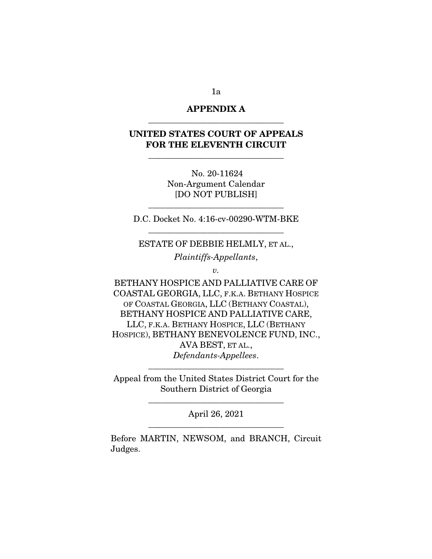# APPENDIX A \_\_\_\_\_\_\_\_\_\_\_\_\_\_\_\_\_\_\_\_\_\_\_\_\_\_\_\_\_\_\_\_

# UNITED STATES COURT OF APPEALS FOR THE ELEVENTH CIRCUIT

\_\_\_\_\_\_\_\_\_\_\_\_\_\_\_\_\_\_\_\_\_\_\_\_\_\_\_\_\_\_\_\_

No. 20-11624 Non-Argument Calendar [DO NOT PUBLISH]

D.C. Docket No. 4:16-cv-00290-WTM-BKE \_\_\_\_\_\_\_\_\_\_\_\_\_\_\_\_\_\_\_\_\_\_\_\_\_\_\_\_\_\_\_\_

\_\_\_\_\_\_\_\_\_\_\_\_\_\_\_\_\_\_\_\_\_\_\_\_\_\_\_\_\_\_\_\_

ESTATE OF DEBBIE HELMLY, ET AL.,

*Plaintiffs-Appellants*,

*v.* 

BETHANY HOSPICE AND PALLIATIVE CARE OF COASTAL GEORGIA, LLC, F.K.A. BETHANY HOSPICE OF COASTAL GEORGIA, LLC (BETHANY COASTAL), BETHANY HOSPICE AND PALLIATIVE CARE, LLC, F.K.A. BETHANY HOSPICE, LLC (BETHANY HOSPICE), BETHANY BENEVOLENCE FUND, INC., AVA BEST, ET AL., *Defendants-Appellees*.

Appeal from the United States District Court for the Southern District of Georgia

\_\_\_\_\_\_\_\_\_\_\_\_\_\_\_\_\_\_\_\_\_\_\_\_\_\_\_\_\_\_\_\_

\_\_\_\_\_\_\_\_\_\_\_\_\_\_\_\_\_\_\_\_\_\_\_\_\_\_\_\_\_\_\_\_

April 26, 2021 \_\_\_\_\_\_\_\_\_\_\_\_\_\_\_\_\_\_\_\_\_\_\_\_\_\_\_\_\_\_\_\_

Before MARTIN, NEWSOM, and BRANCH, Circuit Judges.

1a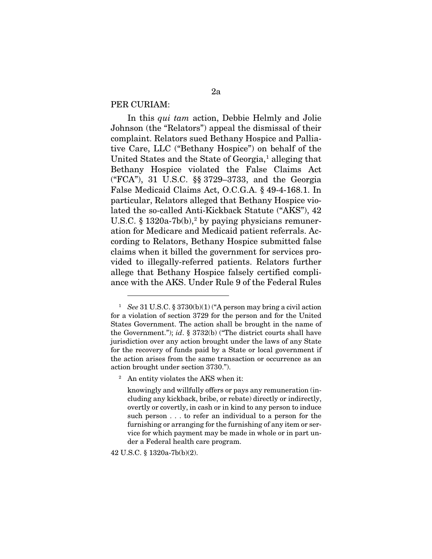## PER CURIAM:

In this *qui tam* action, Debbie Helmly and Jolie Johnson (the "Relators") appeal the dismissal of their complaint. Relators sued Bethany Hospice and Palliative Care, LLC ("Bethany Hospice") on behalf of the United States and the State of Georgia,<sup>[1](#page-1-0)</sup> alleging that Bethany Hospice violated the False Claims Act ("FCA"), 31 U.S.C. §§ 3729–3733, and the Georgia False Medicaid Claims Act, O.C.G.A. § 49-4-168.1. In particular, Relators alleged that Bethany Hospice violated the so-called Anti-Kickback Statute ("AKS"), 42 U.S.C.  $\S$  13[2](#page-1-1)0a-7b(b),<sup>2</sup> by paying physicians remuneration for Medicare and Medicaid patient referrals. According to Relators, Bethany Hospice submitted false claims when it billed the government for services provided to illegally-referred patients. Relators further allege that Bethany Hospice falsely certified compliance with the AKS. Under Rule 9 of the Federal Rules

42 U.S.C. § 1320a-7b(b)(2).

<span id="page-1-0"></span><sup>1</sup> *See* 31 U.S.C. § 3730(b)(1) ("A person may bring a civil action for a violation of section 3729 for the person and for the United States Government. The action shall be brought in the name of the Government."); *id*. § 3732(b) ("The district courts shall have jurisdiction over any action brought under the laws of any State for the recovery of funds paid by a State or local government if the action arises from the same transaction or occurrence as an action brought under section 3730.").

<span id="page-1-1"></span><sup>&</sup>lt;sup>2</sup> An entity violates the AKS when it:

knowingly and willfully offers or pays any remuneration (including any kickback, bribe, or rebate) directly or indirectly, overtly or covertly, in cash or in kind to any person to induce such person . . . to refer an individual to a person for the furnishing or arranging for the furnishing of any item or service for which payment may be made in whole or in part under a Federal health care program.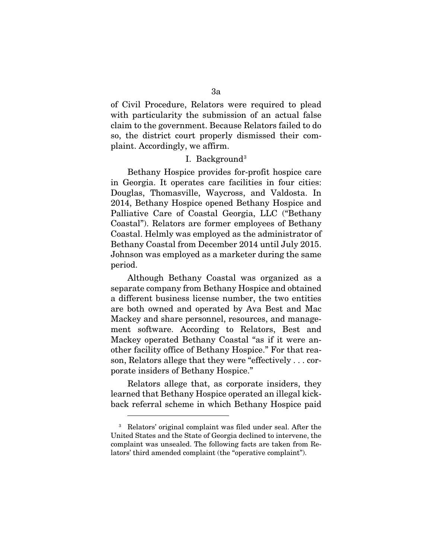of Civil Procedure, Relators were required to plead with particularity the submission of an actual false claim to the government. Because Relators failed to do so, the district court properly dismissed their complaint. Accordingly, we affirm.

### I. Background<sup>[3](#page-2-0)</sup>

Bethany Hospice provides for-profit hospice care in Georgia. It operates care facilities in four cities: Douglas, Thomasville, Waycross, and Valdosta. In 2014, Bethany Hospice opened Bethany Hospice and Palliative Care of Coastal Georgia, LLC ("Bethany Coastal"). Relators are former employees of Bethany Coastal. Helmly was employed as the administrator of Bethany Coastal from December 2014 until July 2015. Johnson was employed as a marketer during the same period.

Although Bethany Coastal was organized as a separate company from Bethany Hospice and obtained a different business license number, the two entities are both owned and operated by Ava Best and Mac Mackey and share personnel, resources, and management software. According to Relators, Best and Mackey operated Bethany Coastal "as if it were another facility office of Bethany Hospice." For that reason, Relators allege that they were "effectively . . . corporate insiders of Bethany Hospice."

Relators allege that, as corporate insiders, they learned that Bethany Hospice operated an illegal kickback referral scheme in which Bethany Hospice paid

<span id="page-2-0"></span><sup>3</sup> Relators' original complaint was filed under seal. After the United States and the State of Georgia declined to intervene, the complaint was unsealed. The following facts are taken from Relators' third amended complaint (the "operative complaint").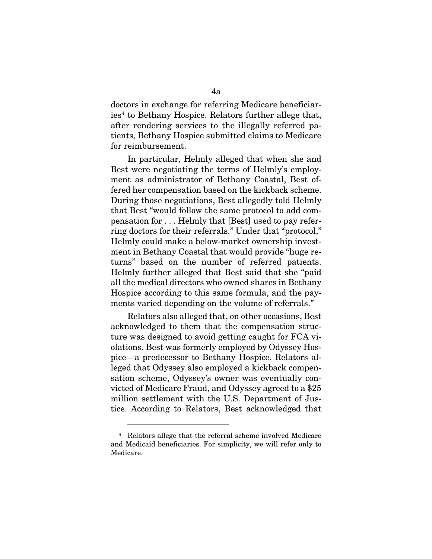doctors in exchange for referring Medicare beneficiar- $\text{ies}^4$  $\text{ies}^4$  to Bethany Hospice. Relators further allege that, after rendering services to the illegally referred patients, Bethany Hospice submitted claims to Medicare for reimbursement.

In particular, Helmly alleged that when she and Best were negotiating the terms of Helmly's employment as administrator of Bethany Coastal, Best offered her compensation based on the kickback scheme. During those negotiations, Best allegedly told Helmly that Best "would follow the same protocol to add compensation for . . . Helmly that [Best] used to pay referring doctors for their referrals." Under that "protocol," Helmly could make a below-market ownership investment in Bethany Coastal that would provide "huge returns" based on the number of referred patients. Helmly further alleged that Best said that she "paid all the medical directors who owned shares in Bethany Hospice according to this same formula, and the payments varied depending on the volume of referrals."

Relators also alleged that, on other occasions, Best acknowledged to them that the compensation structure was designed to avoid getting caught for FCA violations. Best was formerly employed by Odyssey Hospice—a predecessor to Bethany Hospice. Relators alleged that Odyssey also employed a kickback compensation scheme, Odyssey's owner was eventually convicted of Medicare Fraud, and Odyssey agreed to a \$25 million settlement with the U.S. Department of Justice. According to Relators, Best acknowledged that

<span id="page-3-0"></span><sup>4</sup> Relators allege that the referral scheme involved Medicare and Medicaid beneficiaries. For simplicity, we will refer only to Medicare.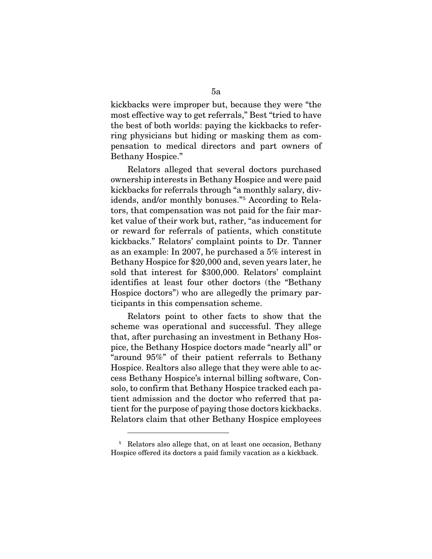kickbacks were improper but, because they were "the most effective way to get referrals," Best "tried to have the best of both worlds: paying the kickbacks to referring physicians but hiding or masking them as compensation to medical directors and part owners of Bethany Hospice."

Relators alleged that several doctors purchased ownership interests in Bethany Hospice and were paid kickbacks for referrals through "a monthly salary, dividends, and/or monthly bonuses."[5](#page-4-0) According to Relators, that compensation was not paid for the fair market value of their work but, rather, "as inducement for or reward for referrals of patients, which constitute kickbacks." Relators' complaint points to Dr. Tanner as an example: In 2007, he purchased a 5% interest in Bethany Hospice for \$20,000 and, seven years later, he sold that interest for \$300,000. Relators' complaint identifies at least four other doctors (the "Bethany Hospice doctors") who are allegedly the primary participants in this compensation scheme.

Relators point to other facts to show that the scheme was operational and successful. They allege that, after purchasing an investment in Bethany Hospice, the Bethany Hospice doctors made "nearly all" or "around 95%" of their patient referrals to Bethany Hospice. Realtors also allege that they were able to access Bethany Hospice's internal billing software, Consolo, to confirm that Bethany Hospice tracked each patient admission and the doctor who referred that patient for the purpose of paying those doctors kickbacks. Relators claim that other Bethany Hospice employees

<span id="page-4-0"></span><sup>&</sup>lt;sup>5</sup> Relators also allege that, on at least one occasion, Bethany Hospice offered its doctors a paid family vacation as a kickback.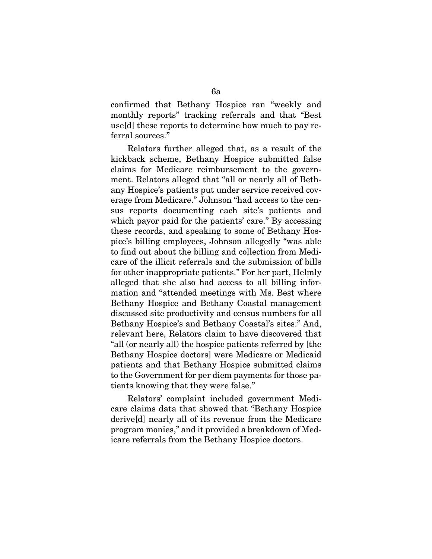confirmed that Bethany Hospice ran "weekly and monthly reports" tracking referrals and that "Best use[d] these reports to determine how much to pay referral sources."

Relators further alleged that, as a result of the kickback scheme, Bethany Hospice submitted false claims for Medicare reimbursement to the government. Relators alleged that "all or nearly all of Bethany Hospice's patients put under service received coverage from Medicare." Johnson "had access to the census reports documenting each site's patients and which payor paid for the patients' care." By accessing these records, and speaking to some of Bethany Hospice's billing employees, Johnson allegedly "was able to find out about the billing and collection from Medicare of the illicit referrals and the submission of bills for other inappropriate patients." For her part, Helmly alleged that she also had access to all billing information and "attended meetings with Ms. Best where Bethany Hospice and Bethany Coastal management discussed site productivity and census numbers for all Bethany Hospice's and Bethany Coastal's sites." And, relevant here, Relators claim to have discovered that "all (or nearly all) the hospice patients referred by [the Bethany Hospice doctors] were Medicare or Medicaid patients and that Bethany Hospice submitted claims to the Government for per diem payments for those patients knowing that they were false."

Relators' complaint included government Medicare claims data that showed that "Bethany Hospice derive[d] nearly all of its revenue from the Medicare program monies," and it provided a breakdown of Medicare referrals from the Bethany Hospice doctors.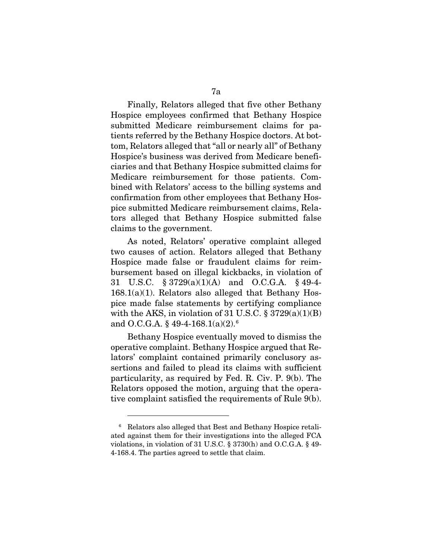Finally, Relators alleged that five other Bethany Hospice employees confirmed that Bethany Hospice submitted Medicare reimbursement claims for patients referred by the Bethany Hospice doctors. At bottom, Relators alleged that "all or nearly all" of Bethany Hospice's business was derived from Medicare beneficiaries and that Bethany Hospice submitted claims for Medicare reimbursement for those patients. Combined with Relators' access to the billing systems and confirmation from other employees that Bethany Hospice submitted Medicare reimbursement claims, Relators alleged that Bethany Hospice submitted false claims to the government.

As noted, Relators' operative complaint alleged two causes of action. Relators alleged that Bethany Hospice made false or fraudulent claims for reimbursement based on illegal kickbacks, in violation of 31 U.S.C. § 3729(a)(1)(A) and O.C.G.A. § 49-4-  $168.1(a)(1)$ . Relators also alleged that Bethany Hospice made false statements by certifying compliance with the AKS, in violation of 31 U.S.C.  $\S 3729(a)(1)(B)$ and O.C.G.A.  $§ 49-4-168.1(a)(2).<sup>6</sup>$  $§ 49-4-168.1(a)(2).<sup>6</sup>$  $§ 49-4-168.1(a)(2).<sup>6</sup>$ 

Bethany Hospice eventually moved to dismiss the operative complaint. Bethany Hospice argued that Relators' complaint contained primarily conclusory assertions and failed to plead its claims with sufficient particularity, as required by Fed. R. Civ. P. 9(b). The Relators opposed the motion, arguing that the operative complaint satisfied the requirements of Rule 9(b).

<span id="page-6-0"></span><sup>6</sup> Relators also alleged that Best and Bethany Hospice retaliated against them for their investigations into the alleged FCA violations, in violation of 31 U.S.C. § 3730(h) and O.C.G.A. § 49- 4-168.4. The parties agreed to settle that claim.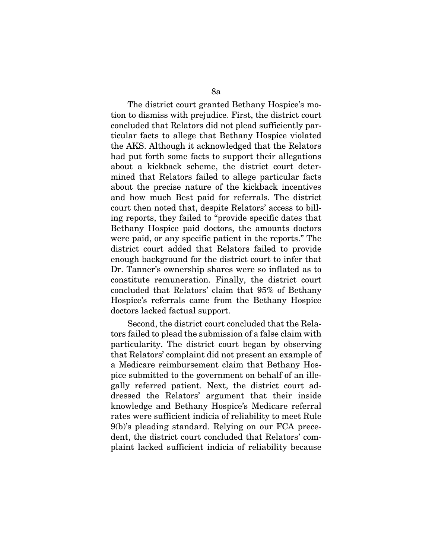The district court granted Bethany Hospice's motion to dismiss with prejudice. First, the district court concluded that Relators did not plead sufficiently particular facts to allege that Bethany Hospice violated the AKS. Although it acknowledged that the Relators had put forth some facts to support their allegations about a kickback scheme, the district court determined that Relators failed to allege particular facts about the precise nature of the kickback incentives and how much Best paid for referrals. The district court then noted that, despite Relators' access to billing reports, they failed to "provide specific dates that Bethany Hospice paid doctors, the amounts doctors were paid, or any specific patient in the reports." The district court added that Relators failed to provide enough background for the district court to infer that Dr. Tanner's ownership shares were so inflated as to constitute remuneration. Finally, the district court concluded that Relators' claim that 95% of Bethany Hospice's referrals came from the Bethany Hospice doctors lacked factual support.

Second, the district court concluded that the Relators failed to plead the submission of a false claim with particularity. The district court began by observing that Relators' complaint did not present an example of a Medicare reimbursement claim that Bethany Hospice submitted to the government on behalf of an illegally referred patient. Next, the district court addressed the Relators' argument that their inside knowledge and Bethany Hospice's Medicare referral rates were sufficient indicia of reliability to meet Rule 9(b)'s pleading standard. Relying on our FCA precedent, the district court concluded that Relators' complaint lacked sufficient indicia of reliability because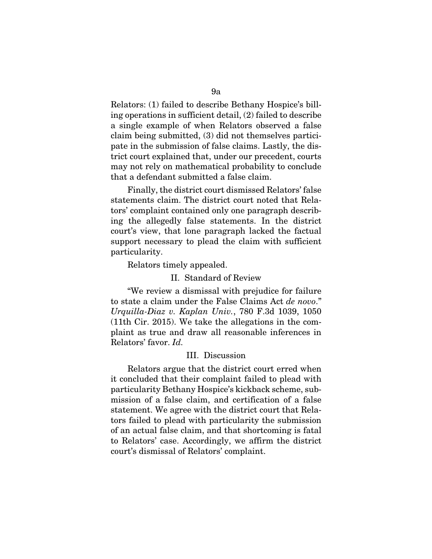Relators: (1) failed to describe Bethany Hospice's billing operations in sufficient detail, (2) failed to describe a single example of when Relators observed a false claim being submitted, (3) did not themselves participate in the submission of false claims. Lastly, the district court explained that, under our precedent, courts may not rely on mathematical probability to conclude that a defendant submitted a false claim.

Finally, the district court dismissed Relators' false statements claim. The district court noted that Relators' complaint contained only one paragraph describing the allegedly false statements. In the district court's view, that lone paragraph lacked the factual support necessary to plead the claim with sufficient particularity.

Relators timely appealed.

#### II. Standard of Review

"We review a dismissal with prejudice for failure to state a claim under the False Claims Act *de novo*." *Urquilla-Diaz v. Kaplan Univ.*, 780 F.3d 1039, 1050 (11th Cir. 2015). We take the allegations in the complaint as true and draw all reasonable inferences in Relators' favor. *Id.* 

### III. Discussion

Relators argue that the district court erred when it concluded that their complaint failed to plead with particularity Bethany Hospice's kickback scheme, submission of a false claim, and certification of a false statement. We agree with the district court that Relators failed to plead with particularity the submission of an actual false claim, and that shortcoming is fatal to Relators' case. Accordingly, we affirm the district court's dismissal of Relators' complaint.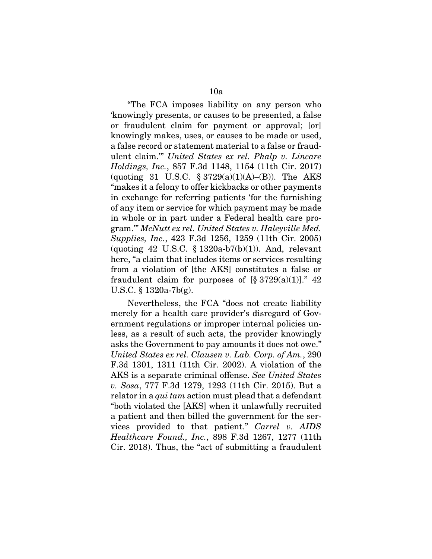"The FCA imposes liability on any person who 'knowingly presents, or causes to be presented, a false or fraudulent claim for payment or approval; [or] knowingly makes, uses, or causes to be made or used, a false record or statement material to a false or fraudulent claim.'" *United States ex rel. Phalp v. Lincare Holdings, Inc.*, 857 F.3d 1148, 1154 (11th Cir. 2017) (quoting 31 U.S.C.  $\S 3729(a)(1)(A)$ –(B)). The AKS "makes it a felony to offer kickbacks or other payments in exchange for referring patients 'for the furnishing of any item or service for which payment may be made in whole or in part under a Federal health care program.'" *McNutt ex rel. United States v. Haleyville Med. Supplies, Inc.*, 423 F.3d 1256, 1259 (11th Cir. 2005) (quoting 42 U.S.C.  $\S$  1320a-b7(b)(1)). And, relevant here, "a claim that includes items or services resulting from a violation of [the AKS] constitutes a false or fraudulent claim for purposes of  $\S 3729(a)(1)$ ." 42 U.S.C. § 1320a-7b(g).

Nevertheless, the FCA "does not create liability merely for a health care provider's disregard of Government regulations or improper internal policies unless, as a result of such acts, the provider knowingly asks the Government to pay amounts it does not owe." *United States ex rel. Clausen v. Lab. Corp. of Am.*, 290 F.3d 1301, 1311 (11th Cir. 2002). A violation of the AKS is a separate criminal offense. *See United States v. Sosa*, 777 F.3d 1279, 1293 (11th Cir. 2015). But a relator in a *qui tam* action must plead that a defendant "both violated the [AKS] when it unlawfully recruited a patient and then billed the government for the services provided to that patient." *Carrel v. AIDS Healthcare Found., Inc.*, 898 F.3d 1267, 1277 (11th Cir. 2018). Thus, the "act of submitting a fraudulent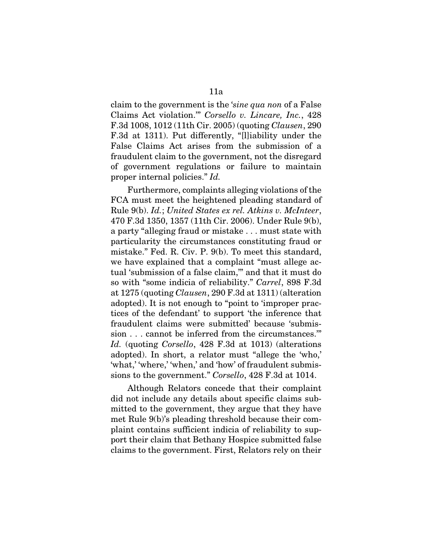claim to the government is the '*sine qua non* of a False Claims Act violation.'" *Corsello v. Lincare, Inc.*, 428 F.3d 1008, 1012 (11th Cir. 2005) (quoting *Clausen*, 290 F.3d at 1311). Put differently, "[l]iability under the False Claims Act arises from the submission of a fraudulent claim to the government, not the disregard of government regulations or failure to maintain proper internal policies." *Id.* 

Furthermore, complaints alleging violations of the FCA must meet the heightened pleading standard of Rule 9(b). *Id.*; *United States ex rel. Atkins v. McInteer*, 470 F.3d 1350, 1357 (11th Cir. 2006). Under Rule 9(b), a party "alleging fraud or mistake . . . must state with particularity the circumstances constituting fraud or mistake." Fed. R. Civ. P. 9(b). To meet this standard, we have explained that a complaint "must allege actual 'submission of a false claim,'" and that it must do so with "some indicia of reliability." *Carrel*, 898 F.3d at 1275 (quoting *Clausen*, 290 F.3d at 1311) (alteration adopted). It is not enough to "point to 'improper practices of the defendant' to support 'the inference that fraudulent claims were submitted' because 'submission . . . cannot be inferred from the circumstances.'" *Id.* (quoting *Corsello*, 428 F.3d at 1013) (alterations adopted). In short, a relator must "allege the 'who,' 'what,' 'where,' 'when,' and 'how' of fraudulent submissions to the government." *Corsello*, 428 F.3d at 1014.

Although Relators concede that their complaint did not include any details about specific claims submitted to the government, they argue that they have met Rule 9(b)'s pleading threshold because their complaint contains sufficient indicia of reliability to support their claim that Bethany Hospice submitted false claims to the government. First, Relators rely on their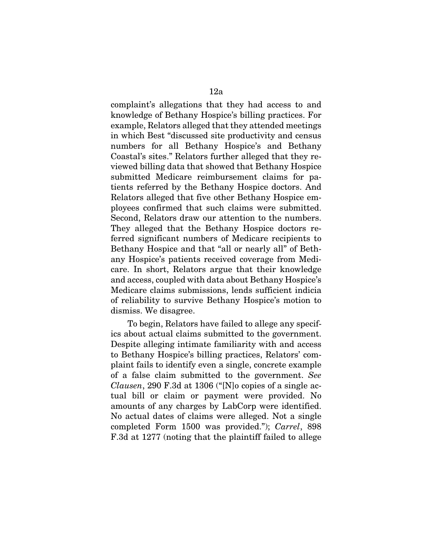complaint's allegations that they had access to and knowledge of Bethany Hospice's billing practices. For example, Relators alleged that they attended meetings in which Best "discussed site productivity and census numbers for all Bethany Hospice's and Bethany Coastal's sites." Relators further alleged that they reviewed billing data that showed that Bethany Hospice submitted Medicare reimbursement claims for patients referred by the Bethany Hospice doctors. And Relators alleged that five other Bethany Hospice employees confirmed that such claims were submitted. Second, Relators draw our attention to the numbers. They alleged that the Bethany Hospice doctors referred significant numbers of Medicare recipients to Bethany Hospice and that "all or nearly all" of Bethany Hospice's patients received coverage from Medicare. In short, Relators argue that their knowledge and access, coupled with data about Bethany Hospice's Medicare claims submissions, lends sufficient indicia of reliability to survive Bethany Hospice's motion to dismiss. We disagree.

To begin, Relators have failed to allege any specifics about actual claims submitted to the government. Despite alleging intimate familiarity with and access to Bethany Hospice's billing practices, Relators' complaint fails to identify even a single, concrete example of a false claim submitted to the government. *See Clausen*, 290 F.3d at 1306 ("[N]o copies of a single actual bill or claim or payment were provided. No amounts of any charges by LabCorp were identified. No actual dates of claims were alleged. Not a single completed Form 1500 was provided."); *Carrel*, 898 F.3d at 1277 (noting that the plaintiff failed to allege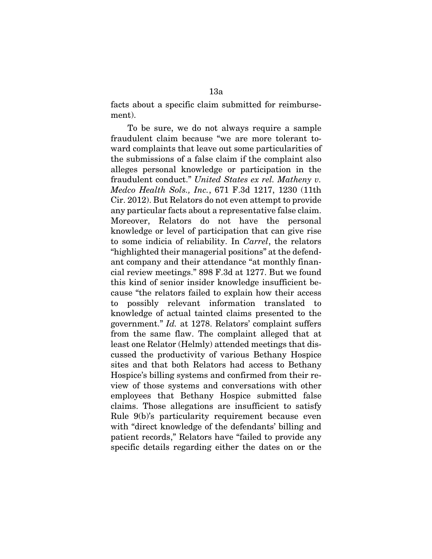facts about a specific claim submitted for reimbursement).

To be sure, we do not always require a sample fraudulent claim because "we are more tolerant toward complaints that leave out some particularities of the submissions of a false claim if the complaint also alleges personal knowledge or participation in the fraudulent conduct." *United States ex rel. Matheny v. Medco Health Sols., Inc.*, 671 F.3d 1217, 1230 (11th Cir. 2012). But Relators do not even attempt to provide any particular facts about a representative false claim. Moreover, Relators do not have the personal knowledge or level of participation that can give rise to some indicia of reliability. In *Carrel*, the relators "highlighted their managerial positions" at the defendant company and their attendance "at monthly financial review meetings." 898 F.3d at 1277. But we found this kind of senior insider knowledge insufficient because "the relators failed to explain how their access to possibly relevant information translated to knowledge of actual tainted claims presented to the government." *Id.* at 1278. Relators' complaint suffers from the same flaw. The complaint alleged that at least one Relator (Helmly) attended meetings that discussed the productivity of various Bethany Hospice sites and that both Relators had access to Bethany Hospice's billing systems and confirmed from their review of those systems and conversations with other employees that Bethany Hospice submitted false claims. Those allegations are insufficient to satisfy Rule 9(b)'s particularity requirement because even with "direct knowledge of the defendants' billing and patient records," Relators have "failed to provide any specific details regarding either the dates on or the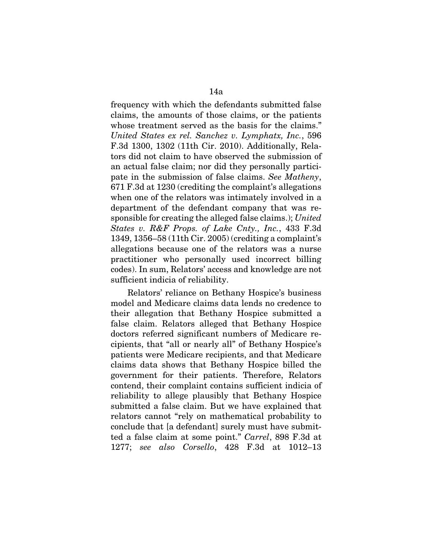frequency with which the defendants submitted false claims, the amounts of those claims, or the patients whose treatment served as the basis for the claims." *United States ex rel. Sanchez v. Lymphatx, Inc.*, 596 F.3d 1300, 1302 (11th Cir. 2010). Additionally, Relators did not claim to have observed the submission of an actual false claim; nor did they personally participate in the submission of false claims. *See Matheny*, 671 F.3d at 1230 (crediting the complaint's allegations when one of the relators was intimately involved in a department of the defendant company that was responsible for creating the alleged false claims.); *United States v. R&F Props. of Lake Cnty., Inc.*, 433 F.3d 1349, 1356–58 (11th Cir. 2005) (crediting a complaint's allegations because one of the relators was a nurse practitioner who personally used incorrect billing codes). In sum, Relators' access and knowledge are not sufficient indicia of reliability.

Relators' reliance on Bethany Hospice's business model and Medicare claims data lends no credence to their allegation that Bethany Hospice submitted a false claim. Relators alleged that Bethany Hospice doctors referred significant numbers of Medicare recipients, that "all or nearly all" of Bethany Hospice's patients were Medicare recipients, and that Medicare claims data shows that Bethany Hospice billed the government for their patients. Therefore, Relators contend, their complaint contains sufficient indicia of reliability to allege plausibly that Bethany Hospice submitted a false claim. But we have explained that relators cannot "rely on mathematical probability to conclude that [a defendant] surely must have submitted a false claim at some point." *Carrel*, 898 F.3d at 1277; *see also Corsello*, 428 F.3d at 1012–13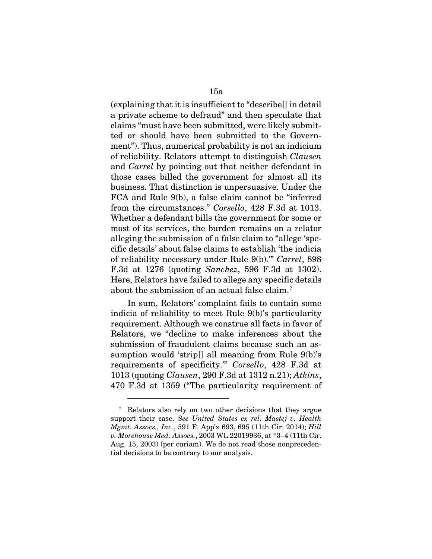(explaining that it is insufficient to "describe[] in detail a private scheme to defraud" and then speculate that claims "must have been submitted, were likely submitted or should have been submitted to the Government"). Thus, numerical probability is not an indicium of reliability. Relators attempt to distinguish *Clausen*  and *Carrel* by pointing out that neither defendant in those cases billed the government for almost all its business. That distinction is unpersuasive. Under the FCA and Rule 9(b), a false claim cannot be "inferred from the circumstances." *Corsello*, 428 F.3d at 1013. Whether a defendant bills the government for some or most of its services, the burden remains on a relator alleging the submission of a false claim to "allege 'specific details' about false claims to establish 'the indicia of reliability necessary under Rule 9(b).'" *Carrel*, 898 F.3d at 1276 (quoting *Sanchez*, 596 F.3d at 1302). Here, Relators have failed to allege any specific details about the submission of an actual false claim.[7](#page-14-0)

In sum, Relators' complaint fails to contain some indicia of reliability to meet Rule 9(b)'s particularity requirement. Although we construe all facts in favor of Relators, we "decline to make inferences about the submission of fraudulent claims because such an assumption would 'strip[] all meaning from Rule 9(b)'s requirements of specificity.'" *Corsello*, 428 F.3d at 1013 (quoting *Clausen*, 290 F.3d at 1312 n.21); *Atkins*, 470 F.3d at 1359 ("The particularity requirement of

<span id="page-14-0"></span><sup>7</sup> Relators also rely on two other decisions that they argue support their case. *See United States ex rel. Mastej v. Health Mgmt. Assocs., Inc.*, 591 F. App'x 693, 695 (11th Cir. 2014); *Hill v. Morehouse Med. Assocs.*, 2003 WL 22019936, at \*3–4 (11th Cir. Aug. 15, 2003) (per curiam). We do not read those nonprecedential decisions to be contrary to our analysis.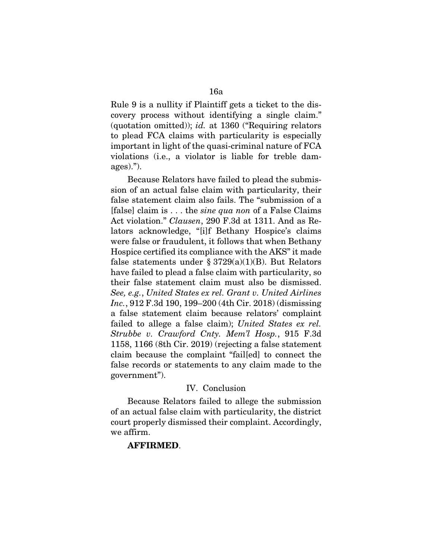Rule 9 is a nullity if Plaintiff gets a ticket to the discovery process without identifying a single claim." (quotation omitted)); *id.* at 1360 ("Requiring relators to plead FCA claims with particularity is especially important in light of the quasi-criminal nature of FCA violations (i.e., a violator is liable for treble damages).").

Because Relators have failed to plead the submission of an actual false claim with particularity, their false statement claim also fails. The "submission of a [false] claim is . . . the *sine qua non* of a False Claims Act violation." *Clausen*, 290 F.3d at 1311. And as Relators acknowledge, "[i]f Bethany Hospice's claims were false or fraudulent, it follows that when Bethany Hospice certified its compliance with the AKS" it made false statements under § 3729 $(a)(1)(B)$ . But Relators have failed to plead a false claim with particularity, so their false statement claim must also be dismissed. *See, e.g.*, *United States ex rel. Grant v. United Airlines Inc.*, 912 F.3d 190, 199–200 (4th Cir. 2018) (dismissing a false statement claim because relators' complaint failed to allege a false claim); *United States ex rel. Strubbe v. Crawford Cnty. Mem'l Hosp.*, 915 F.3d 1158, 1166 (8th Cir. 2019) (rejecting a false statement claim because the complaint "fail[ed] to connect the false records or statements to any claim made to the government").

### IV. Conclusion

Because Relators failed to allege the submission of an actual false claim with particularity, the district court properly dismissed their complaint. Accordingly, we affirm.

## AFFIRMED.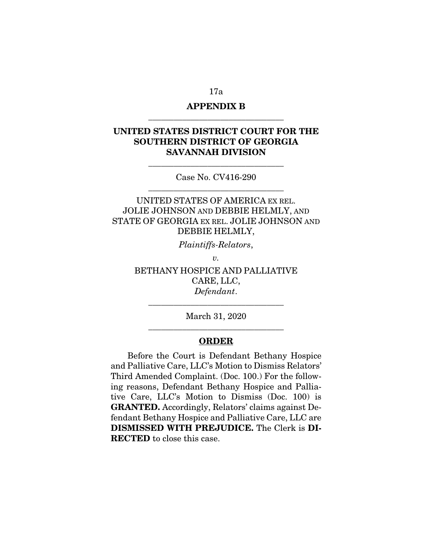# APPENDIX B

\_\_\_\_\_\_\_\_\_\_\_\_\_\_\_\_\_\_\_\_\_\_\_\_\_\_\_\_\_\_\_\_

# UNITED STATES DISTRICT COURT FOR THE SOUTHERN DISTRICT OF GEORGIA SAVANNAH DIVISION

Case No. CV416-290 \_\_\_\_\_\_\_\_\_\_\_\_\_\_\_\_\_\_\_\_\_\_\_\_\_\_\_\_\_\_\_\_

\_\_\_\_\_\_\_\_\_\_\_\_\_\_\_\_\_\_\_\_\_\_\_\_\_\_\_\_\_\_\_\_

UNITED STATES OF AMERICA EX REL. JOLIE JOHNSON AND DEBBIE HELMLY, AND STATE OF GEORGIA EX REL. JOLIE JOHNSON AND DEBBIE HELMLY,

*Plaintiffs-Relators*,

*v.* 

BETHANY HOSPICE AND PALLIATIVE CARE, LLC, *Defendant*.

March 31, 2020 \_\_\_\_\_\_\_\_\_\_\_\_\_\_\_\_\_\_\_\_\_\_\_\_\_\_\_\_\_\_\_\_

\_\_\_\_\_\_\_\_\_\_\_\_\_\_\_\_\_\_\_\_\_\_\_\_\_\_\_\_\_\_\_\_

### **ORDER**

Before the Court is Defendant Bethany Hospice and Palliative Care, LLC's Motion to Dismiss Relators' Third Amended Complaint. (Doc. 100.) For the following reasons, Defendant Bethany Hospice and Palliative Care, LLC's Motion to Dismiss (Doc. 100) is GRANTED. Accordingly, Relators' claims against Defendant Bethany Hospice and Palliative Care, LLC are DISMISSED WITH PREJUDICE. The Clerk is DI-RECTED to close this case.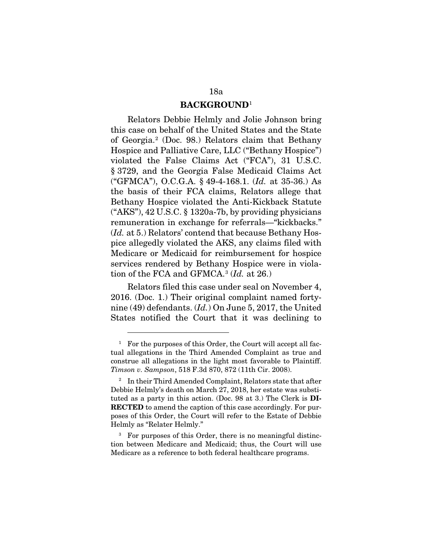### BACKGROUND[1](#page-17-0)

Relators Debbie Helmly and Jolie Johnson bring this case on behalf of the United States and the State of Georgia.[2](#page-17-1) (Doc. 98.) Relators claim that Bethany Hospice and Palliative Care, LLC ("Bethany Hospice") violated the False Claims Act ("FCA"), 31 U.S.C. § 3729, and the Georgia False Medicaid Claims Act ("GFMCA"), O.C.G.A. § 49-4-168.1. (*Id.* at 35-36.) As the basis of their FCA claims, Relators allege that Bethany Hospice violated the Anti-Kickback Statute ("AKS"), 42 U.S.C. § 1320a-7b, by providing physicians remuneration in exchange for referrals—"kickbacks." (*Id.* at 5.) Relators' contend that because Bethany Hospice allegedly violated the AKS, any claims filed with Medicare or Medicaid for reimbursement for hospice services rendered by Bethany Hospice were in violation of the FCA and GFMCA.[3](#page-17-2) (*Id.* at 26.)

Relators filed this case under seal on November 4, 2016. (Doc. 1.) Their original complaint named fortynine (49) defendants. (*Id.*) On June 5, 2017, the United States notified the Court that it was declining to

<span id="page-17-0"></span><sup>&</sup>lt;sup>1</sup> For the purposes of this Order, the Court will accept all factual allegations in the Third Amended Complaint as true and construe all allegations in the light most favorable to Plaintiff. *Timson v. Sampson*, 518 F.3d 870, 872 (11th Cir. 2008).

<span id="page-17-1"></span><sup>&</sup>lt;sup>2</sup> In their Third Amended Complaint, Relators state that after Debbie Helmly's death on March 27, 2018, her estate was substituted as a party in this action. (Doc. 98 at 3.) The Clerk is DI-**RECTED** to amend the caption of this case accordingly. For purposes of this Order, the Court will refer to the Estate of Debbie Helmly as "Relater Helmly."

<span id="page-17-2"></span><sup>&</sup>lt;sup>3</sup> For purposes of this Order, there is no meaningful distinction between Medicare and Medicaid; thus, the Court will use Medicare as a reference to both federal healthcare programs.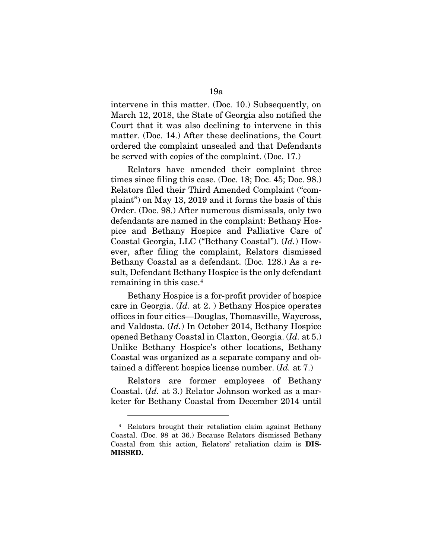intervene in this matter. (Doc. 10.) Subsequently, on March 12, 2018, the State of Georgia also notified the Court that it was also declining to intervene in this matter. (Doc. 14.) After these declinations, the Court ordered the complaint unsealed and that Defendants be served with copies of the complaint. (Doc. 17.)

Relators have amended their complaint three times since filing this case. (Doc. 18; Doc. 45; Doc. 98.) Relators filed their Third Amended Complaint ("complaint") on May 13, 2019 and it forms the basis of this Order. (Doc. 98.) After numerous dismissals, only two defendants are named in the complaint: Bethany Hospice and Bethany Hospice and Palliative Care of Coastal Georgia, LLC ("Bethany Coastal"). (*Id.*) However, after filing the complaint, Relators dismissed Bethany Coastal as a defendant. (Doc. 128.) As a result, Defendant Bethany Hospice is the only defendant remaining in this case.<sup>[4](#page-18-0)</sup>

Bethany Hospice is a for-profit provider of hospice care in Georgia. (*Id.* at 2. ) Bethany Hospice operates offices in four cities—Douglas, Thomasville, Waycross, and Valdosta. (*Id.*) In October 2014, Bethany Hospice opened Bethany Coastal in Claxton, Georgia. (*Id.* at 5.) Unlike Bethany Hospice's other locations, Bethany Coastal was organized as a separate company and obtained a different hospice license number. (*Id.* at 7.)

Relators are former employees of Bethany Coastal. (*Id.* at 3.) Relator Johnson worked as a marketer for Bethany Coastal from December 2014 until

<span id="page-18-0"></span><sup>4</sup> Relators brought their retaliation claim against Bethany Coastal. (Doc. 98 at 36.) Because Relators dismissed Bethany Coastal from this action, Relators' retaliation claim is DIS-MISSED.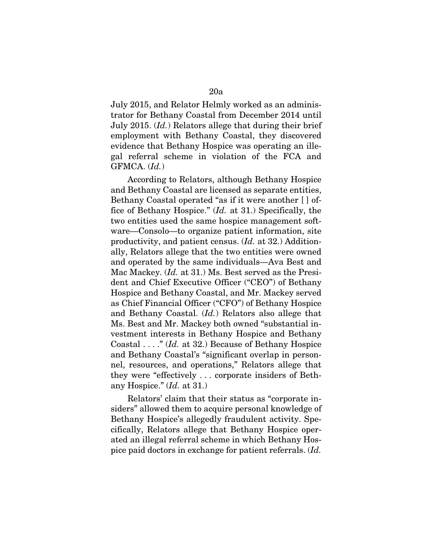July 2015, and Relator Helmly worked as an administrator for Bethany Coastal from December 2014 until July 2015. (*Id.*) Relators allege that during their brief employment with Bethany Coastal, they discovered evidence that Bethany Hospice was operating an illegal referral scheme in violation of the FCA and GFMCA. (*Id.*)

According to Relators, although Bethany Hospice and Bethany Coastal are licensed as separate entities, Bethany Coastal operated "as if it were another [ ] office of Bethany Hospice." (*Id.* at 31.) Specifically, the two entities used the same hospice management software—Consolo—to organize patient information, site productivity, and patient census. (*Id.* at 32.) Additionally, Relators allege that the two entities were owned and operated by the same individuals—Ava Best and Mac Mackey. (*Id.* at 31.) Ms. Best served as the President and Chief Executive Officer ("CEO") of Bethany Hospice and Bethany Coastal, and Mr. Mackey served as Chief Financial Officer ("CFO") of Bethany Hospice and Bethany Coastal. (*Id.*) Relators also allege that Ms. Best and Mr. Mackey both owned "substantial investment interests in Bethany Hospice and Bethany Coastal . . . ." (*Id.* at 32.) Because of Bethany Hospice and Bethany Coastal's "significant overlap in personnel, resources, and operations," Relators allege that they were "effectively . . . corporate insiders of Bethany Hospice." (*Id.* at 31.)

Relators' claim that their status as "corporate insiders" allowed them to acquire personal knowledge of Bethany Hospice's allegedly fraudulent activity. Specifically, Relators allege that Bethany Hospice operated an illegal referral scheme in which Bethany Hospice paid doctors in exchange for patient referrals. (*Id.*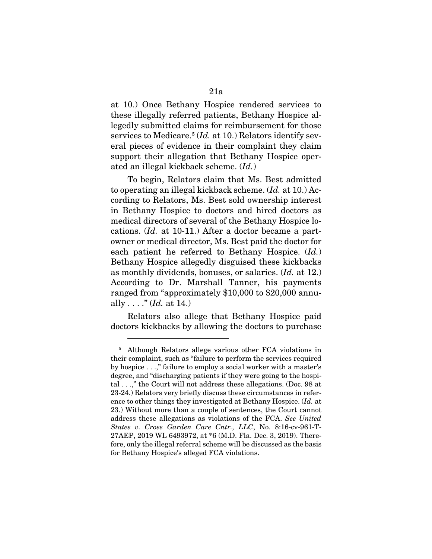at 10.) Once Bethany Hospice rendered services to these illegally referred patients, Bethany Hospice allegedly submitted claims for reimbursement for those services to Medicare.<sup>[5](#page-20-0)</sup> (*Id.* at 10.) Relators identify several pieces of evidence in their complaint they claim support their allegation that Bethany Hospice operated an illegal kickback scheme. (*Id.*)

To begin, Relators claim that Ms. Best admitted to operating an illegal kickback scheme. (*Id.* at 10.) According to Relators, Ms. Best sold ownership interest in Bethany Hospice to doctors and hired doctors as medical directors of several of the Bethany Hospice locations. (*Id.* at 10-11.) After a doctor became a partowner or medical director, Ms. Best paid the doctor for each patient he referred to Bethany Hospice. (*Id.*) Bethany Hospice allegedly disguised these kickbacks as monthly dividends, bonuses, or salaries. (*Id.* at 12.) According to Dr. Marshall Tanner, his payments ranged from "approximately \$10,000 to \$20,000 annually . . . ." (*Id.* at 14.)

Relators also allege that Bethany Hospice paid doctors kickbacks by allowing the doctors to purchase

<span id="page-20-0"></span><sup>5</sup> Although Relators allege various other FCA violations in their complaint, such as "failure to perform the services required by hospice . . .," failure to employ a social worker with a master's degree, and "discharging patients if they were going to the hospital . . .," the Court will not address these allegations. (Doc. 98 at 23-24.) Relators very briefly discuss these circumstances in reference to other things they investigated at Bethany Hospice. (*Id.* at 23.) Without more than a couple of sentences, the Court cannot address these allegations as violations of the FCA. *See United States v. Cross Garden Care Cntr., LLC*, No. 8:16-cv-961-T-27AEP, 2019 WL 6493972, at \*6 (M.D. Fla. Dec. 3, 2019). Therefore, only the illegal referral scheme will be discussed as the basis for Bethany Hospice's alleged FCA violations.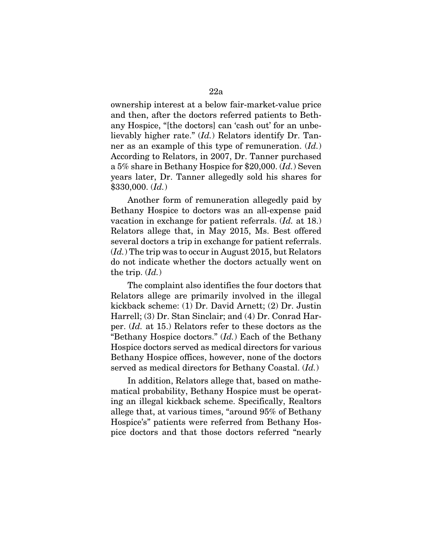ownership interest at a below fair-market-value price and then, after the doctors referred patients to Bethany Hospice, "[the doctors] can 'cash out' for an unbelievably higher rate." (*Id.*) Relators identify Dr. Tanner as an example of this type of remuneration. (*Id.*) According to Relators, in 2007, Dr. Tanner purchased a 5% share in Bethany Hospice for \$20,000. (*Id.*) Seven years later, Dr. Tanner allegedly sold his shares for \$330,000. (*Id.*)

Another form of remuneration allegedly paid by Bethany Hospice to doctors was an all-expense paid vacation in exchange for patient referrals. (*Id.* at 18.) Relators allege that, in May 2015, Ms. Best offered several doctors a trip in exchange for patient referrals. (*Id.*) The trip was to occur in August 2015, but Relators do not indicate whether the doctors actually went on the trip. (*Id.*)

The complaint also identifies the four doctors that Relators allege are primarily involved in the illegal kickback scheme: (1) Dr. David Arnett; (2) Dr. Justin Harrell; (3) Dr. Stan Sinclair; and (4) Dr. Conrad Harper. (*Id.* at 15.) Relators refer to these doctors as the "Bethany Hospice doctors." (*Id.*) Each of the Bethany Hospice doctors served as medical directors for various Bethany Hospice offices, however, none of the doctors served as medical directors for Bethany Coastal. (*Id.*)

In addition, Relators allege that, based on mathematical probability, Bethany Hospice must be operating an illegal kickback scheme. Specifically, Realtors allege that, at various times, "around 95% of Bethany Hospice's" patients were referred from Bethany Hospice doctors and that those doctors referred "nearly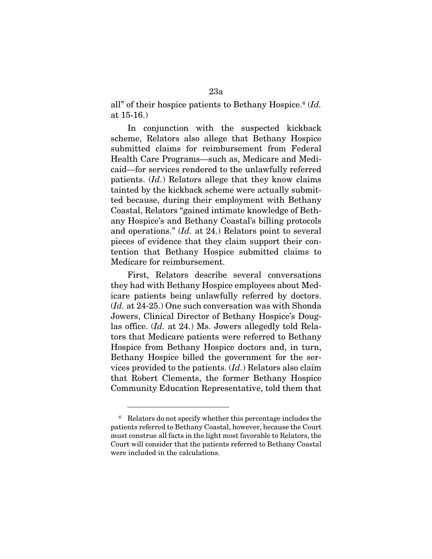all" of their hospice patients to Bethany Hospice.<sup>[6](#page-22-0)</sup> (*Id.*) at 15-16.)

In conjunction with the suspected kickback scheme, Relators also allege that Bethany Hospice submitted claims for reimbursement from Federal Health Care Programs—such as, Medicare and Medicaid—for services rendered to the unlawfully referred patients. (*Id.*) Relators allege that they know claims tainted by the kickback scheme were actually submitted because, during their employment with Bethany Coastal, Relators "gained intimate knowledge of Bethany Hospice's and Bethany Coastal's billing protocols and operations." (*Id.* at 24.) Relators point to several pieces of evidence that they claim support their contention that Bethany Hospice submitted claims to Medicare for reimbursement.

First, Relators describe several conversations they had with Bethany Hospice employees about Medicare patients being unlawfully referred by doctors. (*Id.* at 24-25.) One such conversation was with Shonda Jowers, Clinical Director of Bethany Hospice's Douglas office. (*Id.* at 24.) Ms. Jowers allegedly told Relators that Medicare patients were referred to Bethany Hospice from Bethany Hospice doctors and, in turn, Bethany Hospice billed the government for the services provided to the patients. (*Id.*) Relators also claim that Robert Clements, the former Bethany Hospice Community Education Representative, told them that

<span id="page-22-0"></span><sup>&</sup>lt;sup>6</sup> Relators do not specify whether this percentage includes the patients referred to Bethany Coastal, however, because the Court must construe all facts in the light most favorable to Relators, the Court will consider that the patients referred to Bethany Coastal were included in the calculations.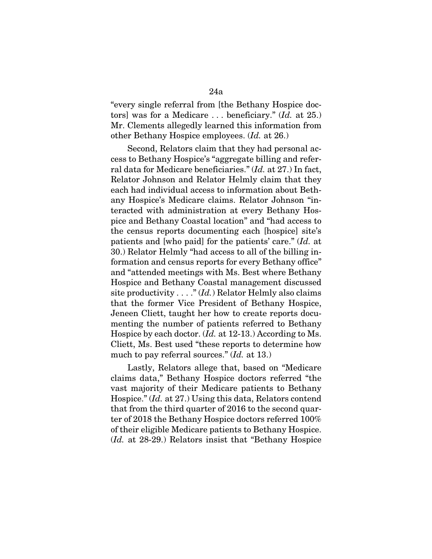"every single referral from [the Bethany Hospice doctors] was for a Medicare . . . beneficiary." (*Id.* at 25.) Mr. Clements allegedly learned this information from other Bethany Hospice employees. (*Id.* at 26.)

Second, Relators claim that they had personal access to Bethany Hospice's "aggregate billing and referral data for Medicare beneficiaries." (*Id.* at 27.) In fact, Relator Johnson and Relator Helmly claim that they each had individual access to information about Bethany Hospice's Medicare claims. Relator Johnson "interacted with administration at every Bethany Hospice and Bethany Coastal location" and "had access to the census reports documenting each [hospice] site's patients and [who paid] for the patients' care." (*Id.* at 30.) Relator Helmly "had access to all of the billing information and census reports for every Bethany office" and "attended meetings with Ms. Best where Bethany Hospice and Bethany Coastal management discussed site productivity . . . ." (*Id.*) Relator Helmly also claims that the former Vice President of Bethany Hospice, Jeneen Cliett, taught her how to create reports documenting the number of patients referred to Bethany Hospice by each doctor. (*Id.* at 12-13.) According to Ms. Cliett, Ms. Best used "these reports to determine how much to pay referral sources." (*Id.* at 13.)

Lastly, Relators allege that, based on "Medicare claims data," Bethany Hospice doctors referred "the vast majority of their Medicare patients to Bethany Hospice." (*Id.* at 27.) Using this data, Relators contend that from the third quarter of 2016 to the second quarter of 2018 the Bethany Hospice doctors referred 100% of their eligible Medicare patients to Bethany Hospice. (*Id.* at 28-29.) Relators insist that "Bethany Hospice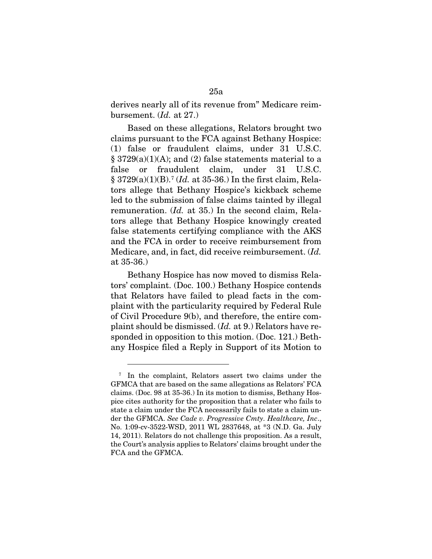derives nearly all of its revenue from" Medicare reimbursement. (*Id.* at 27.)

Based on these allegations, Relators brought two claims pursuant to the FCA against Bethany Hospice: (1) false or fraudulent claims, under 31 U.S.C.  $\S 3729(a)(1)(A);$  and (2) false statements material to a false or fraudulent claim, under 31 U.S.C. § 3729(a)(1)(B).[7](#page-24-0) (*Id.* at 35-36.) In the first claim, Relators allege that Bethany Hospice's kickback scheme led to the submission of false claims tainted by illegal remuneration. (*Id.* at 35.) In the second claim, Relators allege that Bethany Hospice knowingly created false statements certifying compliance with the AKS and the FCA in order to receive reimbursement from Medicare, and, in fact, did receive reimbursement. (*Id.* at 35-36.)

Bethany Hospice has now moved to dismiss Relators' complaint. (Doc. 100.) Bethany Hospice contends that Relators have failed to plead facts in the complaint with the particularity required by Federal Rule of Civil Procedure 9(b), and therefore, the entire complaint should be dismissed. (*Id.* at 9.) Relators have responded in opposition to this motion. (Doc. 121.) Bethany Hospice filed a Reply in Support of its Motion to

<span id="page-24-0"></span><sup>7</sup> In the complaint, Relators assert two claims under the GFMCA that are based on the same allegations as Relators' FCA claims. (Doc. 98 at 35-36.) In its motion to dismiss, Bethany Hospice cites authority for the proposition that a relater who fails to state a claim under the FCA necessarily fails to state a claim under the GFMCA. *See Cade v. Progressive Cmty. Healthcare, Inc*., No. 1:09-cv-3522-WSD, 2011 WL 2837648, at \*3 (N.D. Ga. July 14, 2011). Relators do not challenge this proposition. As a result, the Court's analysis applies to Relators' claims brought under the FCA and the GFMCA.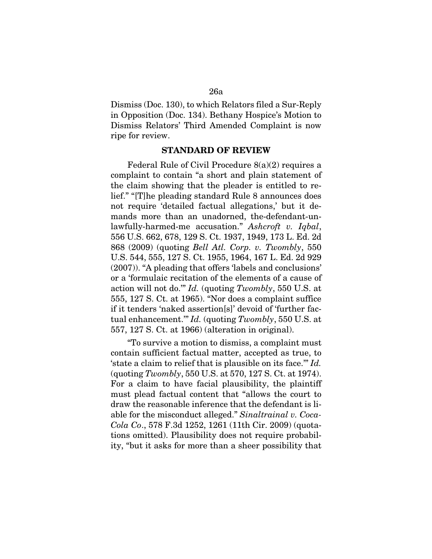Dismiss (Doc. 130), to which Relators filed a Sur-Reply in Opposition (Doc. 134). Bethany Hospice's Motion to Dismiss Relators' Third Amended Complaint is now ripe for review.

### STANDARD OF REVIEW

Federal Rule of Civil Procedure 8(a)(2) requires a complaint to contain "a short and plain statement of the claim showing that the pleader is entitled to relief." "[T]he pleading standard Rule 8 announces does not require 'detailed factual allegations,' but it demands more than an unadorned, the-defendant-unlawfully-harmed-me accusation." *Ashcroft v. Iqbal*, 556 U.S. 662, 678, 129 S. Ct. 1937, 1949, 173 L. Ed. 2d 868 (2009) (quoting *Bell Atl. Corp. v. Twombly*, 550 U.S. 544, 555, 127 S. Ct. 1955, 1964, 167 L. Ed. 2d 929 (2007)). "A pleading that offers 'labels and conclusions' or a 'formulaic recitation of the elements of a cause of action will not do.'" *Id.* (quoting *Twombly*, 550 U.S. at 555, 127 S. Ct. at 1965). "Nor does a complaint suffice if it tenders 'naked assertion[s]' devoid of 'further factual enhancement.'" *Id.* (quoting *Twombly*, 550 U.S. at 557, 127 S. Ct. at 1966) (alteration in original).

"To survive a motion to dismiss, a complaint must contain sufficient factual matter, accepted as true, to 'state a claim to relief that is plausible on its face.'" *Id.* (quoting *Twombly*, 550 U.S. at 570, 127 S. Ct. at 1974). For a claim to have facial plausibility, the plaintiff must plead factual content that "allows the court to draw the reasonable inference that the defendant is liable for the misconduct alleged." *Sinaltrainal v. Coca-Cola Co*., 578 F.3d 1252, 1261 (11th Cir. 2009) (quotations omitted). Plausibility does not require probability, "but it asks for more than a sheer possibility that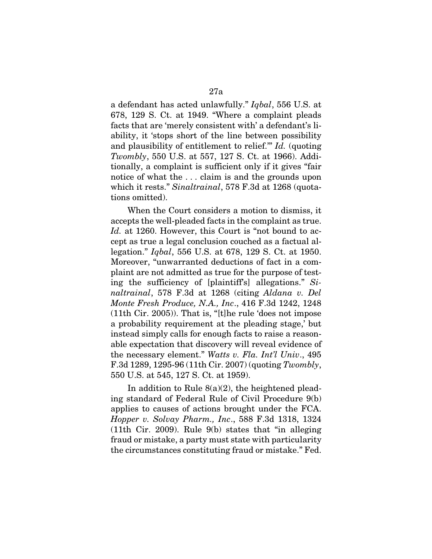a defendant has acted unlawfully." *Iqbal*, 556 U.S. at 678, 129 S. Ct. at 1949. "Where a complaint pleads facts that are 'merely consistent with' a defendant's liability, it 'stops short of the line between possibility and plausibility of entitlement to relief.'" *Id.* (quoting *Twombly*, 550 U.S. at 557, 127 S. Ct. at 1966). Additionally, a complaint is sufficient only if it gives "fair notice of what the . . . claim is and the grounds upon which it rests." *Sinaltrainal*, 578 F.3d at 1268 (quotations omitted).

When the Court considers a motion to dismiss, it accepts the well-pleaded facts in the complaint as true. *Id.* at 1260. However, this Court is "not bound to accept as true a legal conclusion couched as a factual allegation." *Iqbal*, 556 U.S. at 678, 129 S. Ct. at 1950. Moreover, "unwarranted deductions of fact in a complaint are not admitted as true for the purpose of testing the sufficiency of [plaintiff's] allegations." *Sinaltrainal*, 578 F.3d at 1268 (citing *Aldana v. Del Monte Fresh Produce, N.A., Inc*., 416 F.3d 1242, 1248 (11th Cir. 2005)). That is, "[t]he rule 'does not impose a probability requirement at the pleading stage,' but instead simply calls for enough facts to raise a reasonable expectation that discovery will reveal evidence of the necessary element." *Watts v. Fla. Int'l Univ*., 495 F.3d 1289, 1295-96 (11th Cir. 2007) (quoting *Twombly*, 550 U.S. at 545, 127 S. Ct. at 1959).

In addition to Rule  $8(a)(2)$ , the heightened pleading standard of Federal Rule of Civil Procedure 9(b) applies to causes of actions brought under the FCA. *Hopper v. Solvay Pharm., Inc*., 588 F.3d 1318, 1324 (11th Cir. 2009). Rule 9(b) states that "in alleging fraud or mistake, a party must state with particularity the circumstances constituting fraud or mistake." Fed.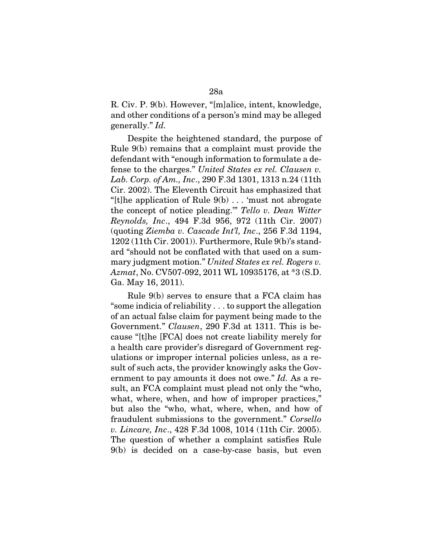R. Civ. P. 9(b). However, "[m]alice, intent, knowledge, and other conditions of a person's mind may be alleged generally." *Id.*

Despite the heightened standard, the purpose of Rule 9(b) remains that a complaint must provide the defendant with "enough information to formulate a defense to the charges." *United States ex rel. Clausen v. Lab. Corp. of Am., Inc*., 290 F.3d 1301, 1313 n.24 (11th Cir. 2002). The Eleventh Circuit has emphasized that "[t]he application of Rule 9(b) . . . 'must not abrogate the concept of notice pleading.'" *Tello v. Dean Witter Reynolds, Inc*., 494 F.3d 956, 972 (11th Cir. 2007) (quoting *Ziemba v. Cascade Int'l, Inc*., 256 F.3d 1194, 1202 (11th Cir. 2001)). Furthermore, Rule 9(b)'s standard "should not be conflated with that used on a summary judgment motion." *United States ex rel. Rogers v. Azmat*, No. CV507-092, 2011 WL 10935176, at \*3 (S.D. Ga. May 16, 2011).

Rule 9(b) serves to ensure that a FCA claim has "some indicia of reliability . . . to support the allegation of an actual false claim for payment being made to the Government." *Clausen*, 290 F.3d at 1311. This is because "[t]he [FCA] does not create liability merely for a health care provider's disregard of Government regulations or improper internal policies unless, as a result of such acts, the provider knowingly asks the Government to pay amounts it does not owe." *Id.* As a result, an FCA complaint must plead not only the "who, what, where, when, and how of improper practices," but also the "who, what, where, when, and how of fraudulent submissions to the government." *Corsello v. Lincare, Inc*., 428 F.3d 1008, 1014 (11th Cir. 2005). The question of whether a complaint satisfies Rule 9(b) is decided on a case-by-case basis, but even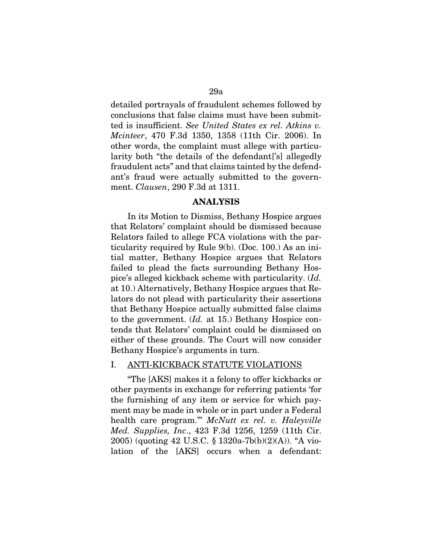detailed portrayals of fraudulent schemes followed by conclusions that false claims must have been submitted is insufficient. *See United States ex rel. Atkins v. Mcinteer*, 470 F.3d 1350, 1358 (11th Cir. 2006). In other words, the complaint must allege with particularity both "the details of the defendant['s] allegedly fraudulent acts" and that claims tainted by the defendant's fraud were actually submitted to the government. *Clausen*, 290 F.3d at 1311.

### ANALYSIS

In its Motion to Dismiss, Bethany Hospice argues that Relators' complaint should be dismissed because Relators failed to allege FCA violations with the particularity required by Rule 9(b). (Doc. 100.) As an initial matter, Bethany Hospice argues that Relators failed to plead the facts surrounding Bethany Hospice's alleged kickback scheme with particularity. (*Id.* at 10.) Alternatively, Bethany Hospice argues that Relators do not plead with particularity their assertions that Bethany Hospice actually submitted false claims to the government. (*Id.* at 15.) Bethany Hospice contends that Relators' complaint could be dismissed on either of these grounds. The Court will now consider Bethany Hospice's arguments in turn.

### I. ANTI-KICKBACK STATUTE VIOLATIONS

"The [AKS] makes it a felony to offer kickbacks or other payments in exchange for referring patients 'for the furnishing of any item or service for which payment may be made in whole or in part under a Federal health care program.'" *McNutt ex rel. v. Haleyville Med. Supplies, Inc*., 423 F.3d 1256, 1259 (11th Cir. 2005) (quoting 42 U.S.C. § 1320a-7b(b)(2)(A)). "A violation of the [AKS] occurs when a defendant: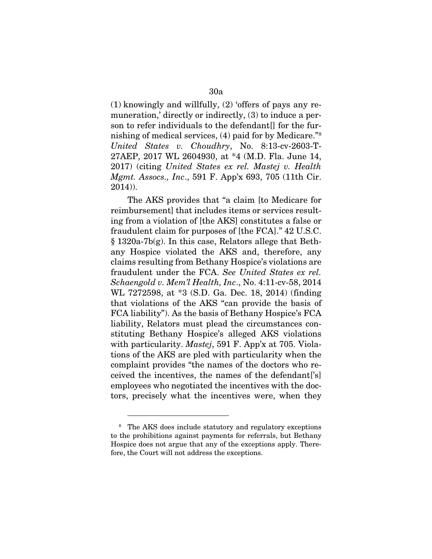(1) knowingly and willfully, (2) 'offers of pays any remuneration,' directly or indirectly, (3) to induce a person to refer individuals to the defendant[] for the furnishing of medical services, (4) paid for by Medicare."[8](#page-29-0) *United States v. Choudhry*, No. 8:13-cv-2603-T-27AEP, 2017 WL 2604930, at \*4 (M.D. Fla. June 14, 2017) (citing *United States ex rel. Mastej v. Health Mgmt. Assocs., Inc*., 591 F. App'x 693, 705 (11th Cir. 2014)).

The AKS provides that "a claim [to Medicare for reimbursement] that includes items or services resulting from a violation of [the AKS] constitutes a false or fraudulent claim for purposes of [the FCA]." 42 U.S.C. § 1320a-7b(g). In this case, Relators allege that Bethany Hospice violated the AKS and, therefore, any claims resulting from Bethany Hospice's violations are fraudulent under the FCA. *See United States ex rel. Schaengold v. Mem'l Health, Inc*., No. 4:11-cv-58, 2014 WL 7272598, at \*3 (S.D. Ga. Dec. 18, 2014) (finding that violations of the AKS "can provide the basis of FCA liability"). As the basis of Bethany Hospice's FCA liability, Relators must plead the circumstances constituting Bethany Hospice's alleged AKS violations with particularity. *Mastej*, 591 F. App'x at 705. Violations of the AKS are pled with particularity when the complaint provides "the names of the doctors who received the incentives, the names of the defendant['s] employees who negotiated the incentives with the doctors, precisely what the incentives were, when they

<span id="page-29-0"></span><sup>8</sup> The AKS does include statutory and regulatory exceptions to the prohibitions against payments for referrals, but Bethany Hospice does not argue that any of the exceptions apply. Therefore, the Court will not address the exceptions.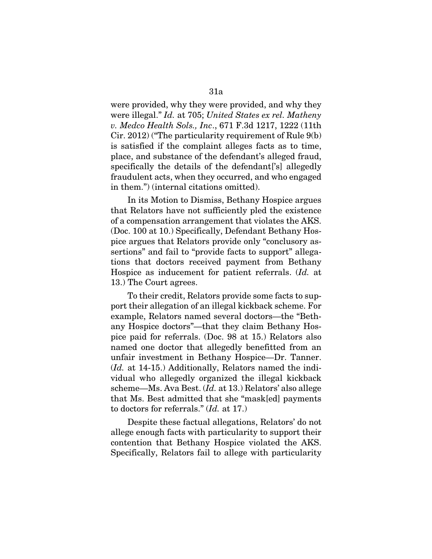were provided, why they were provided, and why they were illegal." *Id.* at 705; *United States ex rel. Matheny v. Medco Health Sols., Inc*., 671 F.3d 1217, 1222 (11th Cir. 2012) ("The particularity requirement of Rule 9(b) is satisfied if the complaint alleges facts as to time, place, and substance of the defendant's alleged fraud, specifically the details of the defendant['s] allegedly fraudulent acts, when they occurred, and who engaged in them.") (internal citations omitted).

In its Motion to Dismiss, Bethany Hospice argues that Relators have not sufficiently pled the existence of a compensation arrangement that violates the AKS. (Doc. 100 at 10.) Specifically, Defendant Bethany Hospice argues that Relators provide only "conclusory assertions" and fail to "provide facts to support" allegations that doctors received payment from Bethany Hospice as inducement for patient referrals. (*Id.* at 13.) The Court agrees.

To their credit, Relators provide some facts to support their allegation of an illegal kickback scheme. For example, Relators named several doctors—the "Bethany Hospice doctors"—that they claim Bethany Hospice paid for referrals. (Doc. 98 at 15.) Relators also named one doctor that allegedly benefitted from an unfair investment in Bethany Hospice—Dr. Tanner. (*Id.* at 14-15.) Additionally, Relators named the individual who allegedly organized the illegal kickback scheme—Ms. Ava Best. (*Id.* at 13.) Relators' also allege that Ms. Best admitted that she "mask[ed] payments to doctors for referrals." (*Id.* at 17.)

Despite these factual allegations, Relators' do not allege enough facts with particularity to support their contention that Bethany Hospice violated the AKS. Specifically, Relators fail to allege with particularity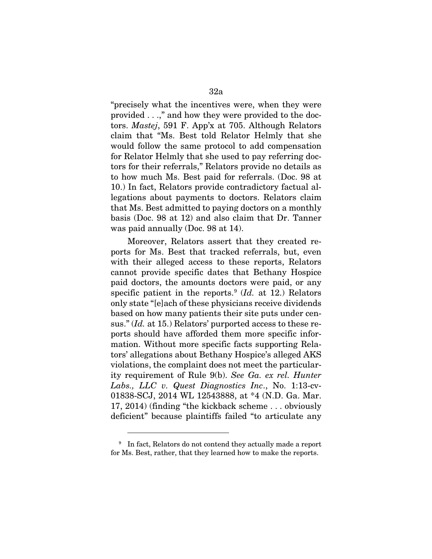"precisely what the incentives were, when they were provided . . .," and how they were provided to the doctors. *Mastej*, 591 F. App'x at 705. Although Relators claim that "Ms. Best told Relator Helmly that she would follow the same protocol to add compensation for Relator Helmly that she used to pay referring doctors for their referrals," Relators provide no details as to how much Ms. Best paid for referrals. (Doc. 98 at 10.) In fact, Relators provide contradictory factual allegations about payments to doctors. Relators claim that Ms. Best admitted to paying doctors on a monthly basis (Doc. 98 at 12) and also claim that Dr. Tanner was paid annually (Doc. 98 at 14).

Moreover, Relators assert that they created reports for Ms. Best that tracked referrals, but, even with their alleged access to these reports, Relators cannot provide specific dates that Bethany Hospice paid doctors, the amounts doctors were paid, or any specific patient in the reports.<sup>[9](#page-31-0)</sup> (*Id.* at 12.) Relators only state "[e]ach of these physicians receive dividends based on how many patients their site puts under census." (*Id.* at 15.) Relators' purported access to these reports should have afforded them more specific information. Without more specific facts supporting Relators' allegations about Bethany Hospice's alleged AKS violations, the complaint does not meet the particularity requirement of Rule 9(b). *See Ga. ex rel. Hunter Labs., LLC v. Quest Diagnostics Inc*., No. 1:13-cv-01838-SCJ, 2014 WL 12543888, at \*4 (N.D. Ga. Mar. 17, 2014) (finding "the kickback scheme . . . obviously deficient" because plaintiffs failed "to articulate any

<span id="page-31-0"></span><sup>9</sup> In fact, Relators do not contend they actually made a report for Ms. Best, rather, that they learned how to make the reports.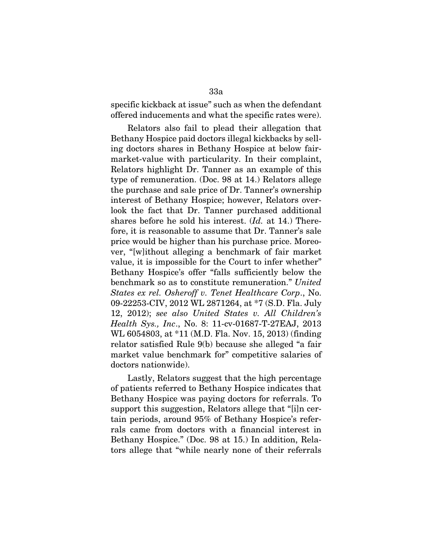specific kickback at issue" such as when the defendant offered inducements and what the specific rates were).

Relators also fail to plead their allegation that Bethany Hospice paid doctors illegal kickbacks by selling doctors shares in Bethany Hospice at below fairmarket-value with particularity. In their complaint, Relators highlight Dr. Tanner as an example of this type of remuneration. (Doc. 98 at 14.) Relators allege the purchase and sale price of Dr. Tanner's ownership interest of Bethany Hospice; however, Relators overlook the fact that Dr. Tanner purchased additional shares before he sold his interest. (*Id.* at 14.) Therefore, it is reasonable to assume that Dr. Tanner's sale price would be higher than his purchase price. Moreover, "[w]ithout alleging a benchmark of fair market value, it is impossible for the Court to infer whether" Bethany Hospice's offer "falls sufficiently below the benchmark so as to constitute remuneration." *United States ex rel. Osheroff v. Tenet Healthcare Corp*., No. 09-22253-CIV, 2012 WL 2871264, at \*7 (S.D. Fla. July 12, 2012); *see also United States v. All Children's Health Sys., Inc*., No. 8: 11-cv-01687-T-27EAJ, 2013 WL 6054803, at \*11 (M.D. Fla. Nov. 15, 2013) (finding relator satisfied Rule 9(b) because she alleged "a fair market value benchmark for" competitive salaries of doctors nationwide).

Lastly, Relators suggest that the high percentage of patients referred to Bethany Hospice indicates that Bethany Hospice was paying doctors for referrals. To support this suggestion, Relators allege that "[i]n certain periods, around 95% of Bethany Hospice's referrals came from doctors with a financial interest in Bethany Hospice." (Doc. 98 at 15.) In addition, Relators allege that "while nearly none of their referrals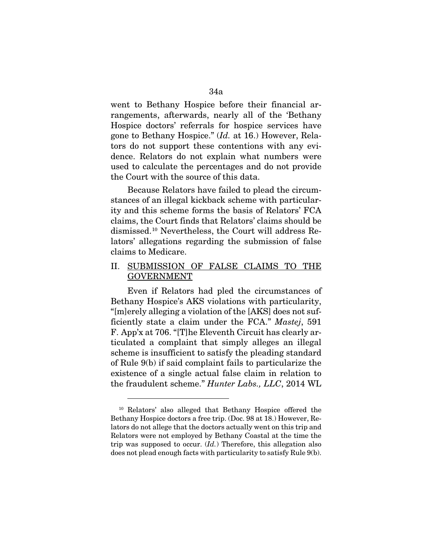went to Bethany Hospice before their financial arrangements, afterwards, nearly all of the 'Bethany Hospice doctors' referrals for hospice services have gone to Bethany Hospice." (*Id.* at 16.) However, Relators do not support these contentions with any evidence. Relators do not explain what numbers were used to calculate the percentages and do not provide the Court with the source of this data.

Because Relators have failed to plead the circumstances of an illegal kickback scheme with particularity and this scheme forms the basis of Relators' FCA claims, the Court finds that Relators' claims should be dismissed[.10](#page-33-0) Nevertheless, the Court will address Relators' allegations regarding the submission of false claims to Medicare.

## II. SUBMISSION OF FALSE CLAIMS TO THE GOVERNMENT

Even if Relators had pled the circumstances of Bethany Hospice's AKS violations with particularity, "[m]erely alleging a violation of the [AKS] does not sufficiently state a claim under the FCA." *Mastej*, 591 F. App'x at 706. "[T]he Eleventh Circuit has clearly articulated a complaint that simply alleges an illegal scheme is insufficient to satisfy the pleading standard of Rule 9(b) if said complaint fails to particularize the existence of a single actual false claim in relation to the fraudulent scheme." *Hunter Labs., LLC*, 2014 WL

<span id="page-33-0"></span><sup>10</sup> Relators' also alleged that Bethany Hospice offered the Bethany Hospice doctors a free trip. (Doc. 98 at 18.) However, Relators do not allege that the doctors actually went on this trip and Relators were not employed by Bethany Coastal at the time the trip was supposed to occur. (*Id.*) Therefore, this allegation also does not plead enough facts with particularity to satisfy Rule 9(b).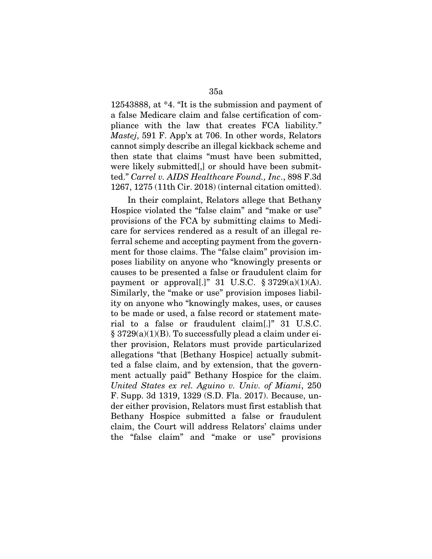12543888, at \*4. "It is the submission and payment of a false Medicare claim and false certification of compliance with the law that creates FCA liability." *Mastej*, 591 F. App'x at 706. In other words, Relators cannot simply describe an illegal kickback scheme and then state that claims "must have been submitted, were likely submitted[,] or should have been submitted." *Carrel v. AIDS Healthcare Found., Inc*., 898 F.3d 1267, 1275 (11th Cir. 2018) (internal citation omitted).

In their complaint, Relators allege that Bethany Hospice violated the "false claim" and "make or use" provisions of the FCA by submitting claims to Medicare for services rendered as a result of an illegal referral scheme and accepting payment from the government for those claims. The "false claim" provision imposes liability on anyone who "knowingly presents or causes to be presented a false or fraudulent claim for payment or approval[.]" 31 U.S.C.  $\S 3729(a)(1)(A)$ . Similarly, the "make or use" provision imposes liability on anyone who "knowingly makes, uses, or causes to be made or used, a false record or statement material to a false or fraudulent claim[.]" 31 U.S.C. § 3729(a)(1)(B). To successfully plead a claim under either provision, Relators must provide particularized allegations "that [Bethany Hospice] actually submitted a false claim, and by extension, that the government actually paid" Bethany Hospice for the claim. *United States ex rel. Aguino v. Univ. of Miami*, 250 F. Supp. 3d 1319, 1329 (S.D. Fla. 2017). Because, under either provision, Relators must first establish that Bethany Hospice submitted a false or fraudulent claim, the Court will address Relators' claims under the "false claim" and "make or use" provisions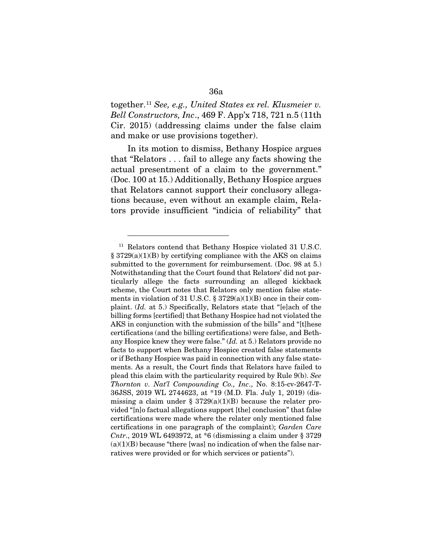together.[11](#page-35-0) *See, e.g., United States ex rel. Klusmeier v. Bell Constructors, Inc*., 469 F. App'x 718, 721 n.5 (11th Cir. 2015) (addressing claims under the false claim and make or use provisions together).

In its motion to dismiss, Bethany Hospice argues that "Relators . . . fail to allege any facts showing the actual presentment of a claim to the government." (Doc. 100 at 15.) Additionally, Bethany Hospice argues that Relators cannot support their conclusory allegations because, even without an example claim, Relators provide insufficient "indicia of reliability" that

<span id="page-35-0"></span><sup>&</sup>lt;sup>11</sup> Relators contend that Bethany Hospice violated 31 U.S.C. § 3729(a)(1)(B) by certifying compliance with the AKS on claims submitted to the government for reimbursement. (Doc. 98 at 5.) Notwithstanding that the Court found that Relators' did not particularly allege the facts surrounding an alleged kickback scheme, the Court notes that Relators only mention false statements in violation of 31 U.S.C. § 3729(a)(1)(B) once in their complaint. (*Id.* at 5.) Specifically, Relators state that "[e]ach of the billing forms [certified] that Bethany Hospice had not violated the AKS in conjunction with the submission of the bills" and "[t]hese certifications (and the billing certifications) were false, and Bethany Hospice knew they were false." (*Id.* at 5.) Relators provide no facts to support when Bethany Hospice created false statements or if Bethany Hospice was paid in connection with any false statements. As a result, the Court finds that Relators have failed to plead this claim with the particularity required by Rule 9(b). *See Thornton v. Nat'l Compounding Co., Inc*., No. 8:15-cv-2647-T-36JSS, 2019 WL 2744623, at \*19 (M.D. Fla. July 1, 2019) (dismissing a claim under  $\S 3729(a)(1)(B)$  because the relater provided "[n]o factual allegations support [the] conclusion" that false certifications were made where the relater only mentioned false certifications in one paragraph of the complaint); *Garden Care Cntr*., 2019 WL 6493972, at \*6 (dismissing a claim under § 3729  $(a)(1)(B)$  because "there [was] no indication of when the false narratives were provided or for which services or patients").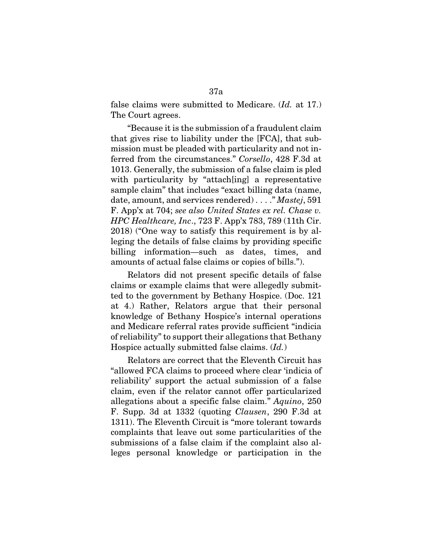false claims were submitted to Medicare. (*Id.* at 17.) The Court agrees.

"Because it is the submission of a fraudulent claim that gives rise to liability under the [FCA], that submission must be pleaded with particularity and not inferred from the circumstances." *Corsello*, 428 F.3d at 1013. Generally, the submission of a false claim is pled with particularity by "attach [ing] a representative sample claim" that includes "exact billing data (name, date, amount, and services rendered) . . . ." *Mastej*, 591 F. App'x at 704; *see also United States ex rel. Chase v. HPC Healthcare, Inc*., 723 F. App'x 783, 789 (11th Cir. 2018) ("One way to satisfy this requirement is by alleging the details of false claims by providing specific billing information—such as dates, times, and amounts of actual false claims or copies of bills.").

Relators did not present specific details of false claims or example claims that were allegedly submitted to the government by Bethany Hospice. (Doc. 121 at 4.) Rather, Relators argue that their personal knowledge of Bethany Hospice's internal operations and Medicare referral rates provide sufficient "indicia of reliability" to support their allegations that Bethany Hospice actually submitted false claims. (*Id.*)

Relators are correct that the Eleventh Circuit has "allowed FCA claims to proceed where clear 'indicia of reliability' support the actual submission of a false claim, even if the relator cannot offer particularized allegations about a specific false claim." *Aquino*, 250 F. Supp. 3d at 1332 (quoting *Clausen*, 290 F.3d at 1311). The Eleventh Circuit is "more tolerant towards complaints that leave out some particularities of the submissions of a false claim if the complaint also alleges personal knowledge or participation in the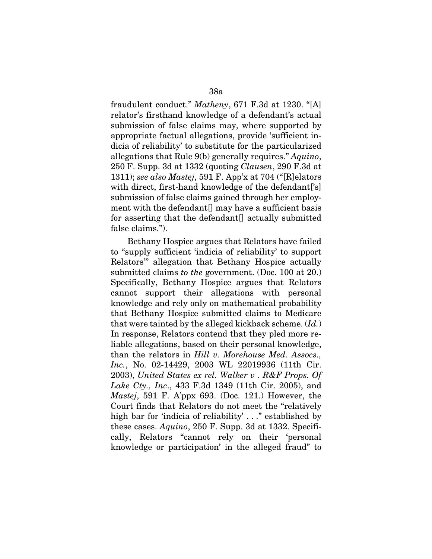fraudulent conduct." *Matheny*, 671 F.3d at 1230. "[A] relator's firsthand knowledge of a defendant's actual submission of false claims may, where supported by appropriate factual allegations, provide 'sufficient indicia of reliability' to substitute for the particularized allegations that Rule 9(b) generally requires." *Aquino*, 250 F. Supp. 3d at 1332 (quoting *Clausen*, 290 F.3d at 1311); *see also Mastej*, 591 F. App'x at 704 ("[R]elators with direct, first-hand knowledge of the defendant ['s] submission of false claims gained through her employment with the defendant<sup>[]</sup> may have a sufficient basis for asserting that the defendant[] actually submitted false claims.").

Bethany Hospice argues that Relators have failed to "supply sufficient 'indicia of reliability' to support Relators'" allegation that Bethany Hospice actually submitted claims *to the* government. (Doc. 100 at 20.) Specifically, Bethany Hospice argues that Relators cannot support their allegations with personal knowledge and rely only on mathematical probability that Bethany Hospice submitted claims to Medicare that were tainted by the alleged kickback scheme. (*Id.*) In response, Relators contend that they pled more reliable allegations, based on their personal knowledge, than the relators in *Hill v. Morehouse Med. Assocs., Inc.*, No. 02-14429, 2003 WL 22019936 (11th Cir. 2003), *United States ex rel. Walker v . R&F Props. Of Lake Cty., Inc*., 433 F.3d 1349 (11th Cir. 2005), and *Mastej*, 591 F. A'ppx 693. (Doc. 121.) However, the Court finds that Relators do not meet the "relatively high bar for 'indicia of reliability' . . ." established by these cases. *Aquino*, 250 F. Supp. 3d at 1332. Specifically, Relators "cannot rely on their 'personal knowledge or participation' in the alleged fraud" to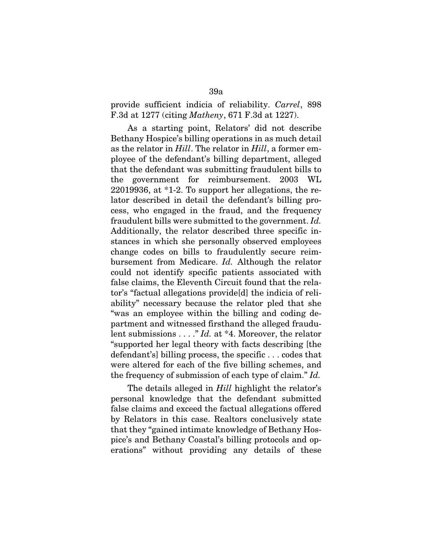provide sufficient indicia of reliability. *Carrel*, 898 F.3d at 1277 (citing *Matheny*, 671 F.3d at 1227).

As a starting point, Relators' did not describe Bethany Hospice's billing operations in as much detail as the relator in *Hill*. The relator in *Hill*, a former employee of the defendant's billing department, alleged that the defendant was submitting fraudulent bills to the government for reimbursement. 2003 WL 22019936, at \*1-2. To support her allegations, the relator described in detail the defendant's billing process, who engaged in the fraud, and the frequency fraudulent bills were submitted to the government. *Id.* Additionally, the relator described three specific instances in which she personally observed employees change codes on bills to fraudulently secure reimbursement from Medicare. *Id.* Although the relator could not identify specific patients associated with false claims, the Eleventh Circuit found that the relator's "factual allegations provide[d] the indicia of reliability" necessary because the relator pled that she "was an employee within the billing and coding department and witnessed firsthand the alleged fraudulent submissions . . . ." *Id.* at \*4. Moreover, the relator "supported her legal theory with facts describing [the defendant's] billing process, the specific . . . codes that were altered for each of the five billing schemes, and the frequency of submission of each type of claim." *Id.*

The details alleged in *Hill* highlight the relator's personal knowledge that the defendant submitted false claims and exceed the factual allegations offered by Relators in this case. Realtors conclusively state that they "gained intimate knowledge of Bethany Hospice's and Bethany Coastal's billing protocols and operations" without providing any details of these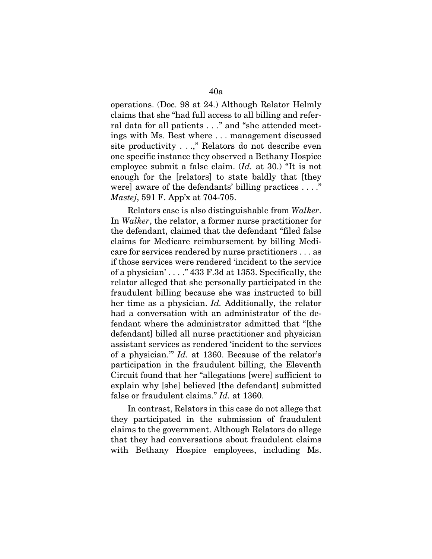operations. (Doc. 98 at 24.) Although Relator Helmly claims that she "had full access to all billing and referral data for all patients . . ." and "she attended meetings with Ms. Best where . . . management discussed site productivity . . .," Relators do not describe even one specific instance they observed a Bethany Hospice employee submit a false claim. (*Id.* at 30.) "It is not enough for the [relators] to state baldly that [they were] aware of the defendants' billing practices . . . ." *Mastej*, 591 F. App'x at 704-705.

Relators case is also distinguishable from *Walker*. In *Walker*, the relator, a former nurse practitioner for the defendant, claimed that the defendant "filed false claims for Medicare reimbursement by billing Medicare for services rendered by nurse practitioners . . . as if those services were rendered 'incident to the service of a physician' . . . ." 433 F.3d at 1353. Specifically, the relator alleged that she personally participated in the fraudulent billing because she was instructed to bill her time as a physician. *Id.* Additionally, the relator had a conversation with an administrator of the defendant where the administrator admitted that "[the defendant] billed all nurse practitioner and physician assistant services as rendered 'incident to the services of a physician.'" *Id.* at 1360. Because of the relator's participation in the fraudulent billing, the Eleventh Circuit found that her "allegations [were] sufficient to explain why [she] believed [the defendant] submitted false or fraudulent claims." *Id.* at 1360.

In contrast, Relators in this case do not allege that they participated in the submission of fraudulent claims to the government. Although Relators do allege that they had conversations about fraudulent claims with Bethany Hospice employees, including Ms.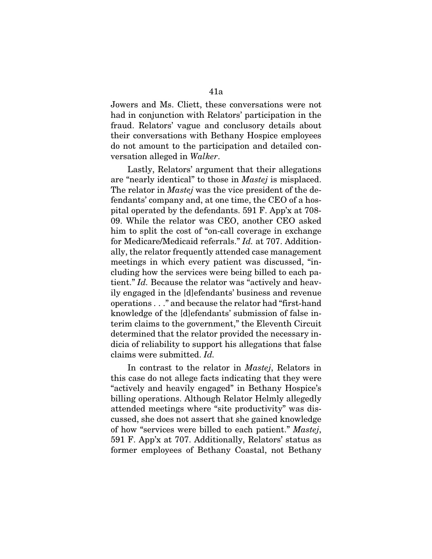Jowers and Ms. Cliett, these conversations were not had in conjunction with Relators' participation in the fraud. Relators' vague and conclusory details about their conversations with Bethany Hospice employees do not amount to the participation and detailed conversation alleged in *Walker*.

Lastly, Relators' argument that their allegations are "nearly identical" to those in *Mastej* is misplaced. The relator in *Mastej* was the vice president of the defendants' company and, at one time, the CEO of a hospital operated by the defendants. 591 F. App'x at 708- 09. While the relator was CEO, another CEO asked him to split the cost of "on-call coverage in exchange for Medicare/Medicaid referrals." *Id.* at 707. Additionally, the relator frequently attended case management meetings in which every patient was discussed, "including how the services were being billed to each patient." *Id.* Because the relator was "actively and heavily engaged in the [d]efendants' business and revenue operations . . ." and because the relator had "first-hand knowledge of the [d]efendants' submission of false interim claims to the government," the Eleventh Circuit determined that the relator provided the necessary indicia of reliability to support his allegations that false claims were submitted. *Id.*

In contrast to the relator in *Mastej*, Relators in this case do not allege facts indicating that they were "actively and heavily engaged" in Bethany Hospice's billing operations. Although Relator Helmly allegedly attended meetings where "site productivity" was discussed, she does not assert that she gained knowledge of how "services were billed to each patient." *Mastej*, 591 F. App'x at 707. Additionally, Relators' status as former employees of Bethany Coastal, not Bethany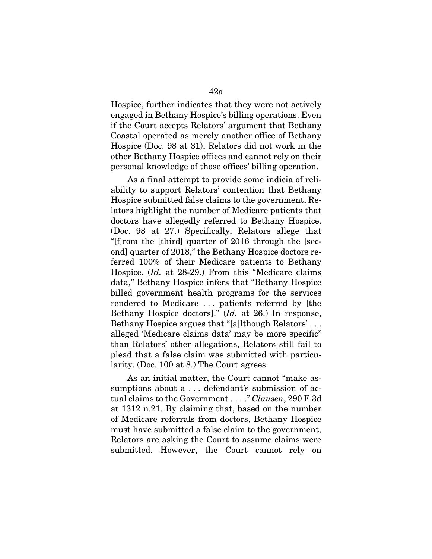Hospice, further indicates that they were not actively engaged in Bethany Hospice's billing operations. Even if the Court accepts Relators' argument that Bethany Coastal operated as merely another office of Bethany Hospice (Doc. 98 at 31), Relators did not work in the other Bethany Hospice offices and cannot rely on their personal knowledge of those offices' billing operation.

As a final attempt to provide some indicia of reliability to support Relators' contention that Bethany Hospice submitted false claims to the government, Relators highlight the number of Medicare patients that doctors have allegedly referred to Bethany Hospice. (Doc. 98 at 27.) Specifically, Relators allege that "[f]rom the [third] quarter of 2016 through the [second] quarter of 2018," the Bethany Hospice doctors referred 100% of their Medicare patients to Bethany Hospice. (*Id.* at 28-29.) From this "Medicare claims data," Bethany Hospice infers that "Bethany Hospice billed government health programs for the services rendered to Medicare . . . patients referred by [the Bethany Hospice doctors]." (*Id.* at 26.) In response, Bethany Hospice argues that "[a]lthough Relators' . . . alleged 'Medicare claims data' may be more specific" than Relators' other allegations, Relators still fail to plead that a false claim was submitted with particularity. (Doc. 100 at 8.) The Court agrees.

As an initial matter, the Court cannot "make assumptions about a ... defendant's submission of actual claims to the Government . . . ." *Clausen*, 290 F.3d at 1312 n.21. By claiming that, based on the number of Medicare referrals from doctors, Bethany Hospice must have submitted a false claim to the government, Relators are asking the Court to assume claims were submitted. However, the Court cannot rely on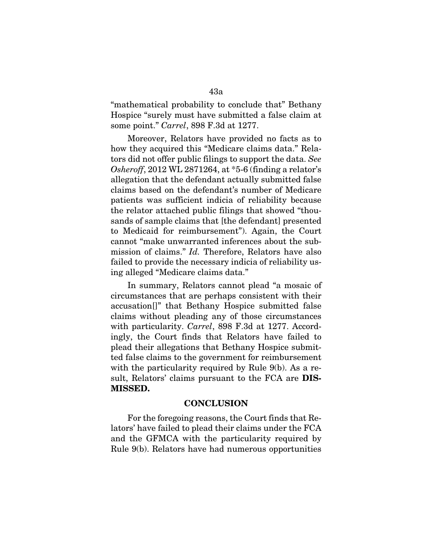"mathematical probability to conclude that" Bethany Hospice "surely must have submitted a false claim at some point." *Carrel*, 898 F.3d at 1277.

Moreover, Relators have provided no facts as to how they acquired this "Medicare claims data." Relators did not offer public filings to support the data. *See Osheroff*, 2012 WL 2871264, at \*5-6 (finding a relator's allegation that the defendant actually submitted false claims based on the defendant's number of Medicare patients was sufficient indicia of reliability because the relator attached public filings that showed "thousands of sample claims that [the defendant] presented to Medicaid for reimbursement"). Again, the Court cannot "make unwarranted inferences about the submission of claims." *Id.* Therefore, Relators have also failed to provide the necessary indicia of reliability using alleged "Medicare claims data."

In summary, Relators cannot plead "a mosaic of circumstances that are perhaps consistent with their accusation[]" that Bethany Hospice submitted false claims without pleading any of those circumstances with particularity. *Carrel*, 898 F.3d at 1277. Accordingly, the Court finds that Relators have failed to plead their allegations that Bethany Hospice submitted false claims to the government for reimbursement with the particularity required by Rule 9(b). As a result, Relators' claims pursuant to the FCA are DIS-MISSED.

### **CONCLUSION**

For the foregoing reasons, the Court finds that Relators' have failed to plead their claims under the FCA and the GFMCA with the particularity required by Rule 9(b). Relators have had numerous opportunities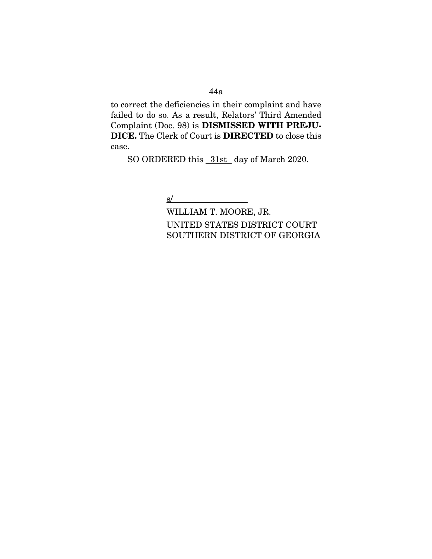### 44a

to correct the deficiencies in their complaint and have failed to do so. As a result, Relators' Third Amended Complaint (Doc. 98) is DISMISSED WITH PREJU-DICE. The Clerk of Court is DIRECTED to close this case.

SO ORDERED this 31st day of March 2020.

# $s/$

WILLIAM T. MOORE, JR. UNITED STATES DISTRICT COURT SOUTHERN DISTRICT OF GEORGIA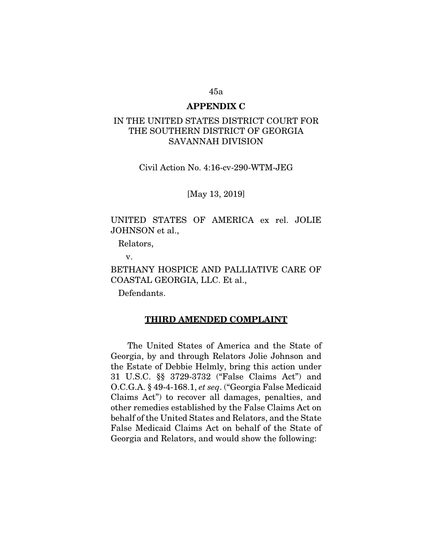#### 45a

### APPENDIX C

### IN THE UNITED STATES DISTRICT COURT FOR THE SOUTHERN DISTRICT OF GEORGIA SAVANNAH DIVISION

Civil Action No. 4:16-cv-290-WTM-JEG

[May 13, 2019]

## UNITED STATES OF AMERICA ex rel. JOLIE JOHNSON et al.,

Relators,

v.

BETHANY HOSPICE AND PALLIATIVE CARE OF COASTAL GEORGIA, LLC. Et al.,

Defendants.

#### THIRD AMENDED COMPLAINT

The United States of America and the State of Georgia, by and through Relators Jolie Johnson and the Estate of Debbie Helmly, bring this action under 31 U.S.C. §§ 3729-3732 ("False Claims Act") and O.C.G.A. § 49-4-168.1, *et seq*. ("Georgia False Medicaid Claims Act") to recover all damages, penalties, and other remedies established by the False Claims Act on behalf of the United States and Relators, and the State False Medicaid Claims Act on behalf of the State of Georgia and Relators, and would show the following: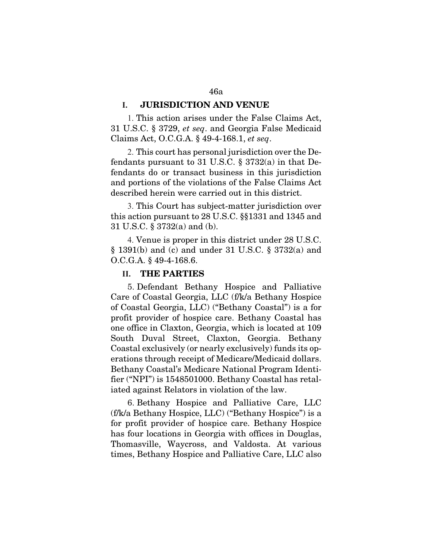### **I.** JURISDICTION AND VENUE

1. This action arises under the False Claims Act, 31 U.S.C. § 3729, *et seq*. and Georgia False Medicaid Claims Act, O.C.G.A. § 49-4-168.1, *et seq*.

2. This court has personal jurisdiction over the Defendants pursuant to 31 U.S.C. § 3732(a) in that Defendants do or transact business in this jurisdiction and portions of the violations of the False Claims Act described herein were carried out in this district.

3. This Court has subject-matter jurisdiction over this action pursuant to 28 U.S.C. §§1331 and 1345 and 31 U.S.C. § 3732(a) and (b).

4. Venue is proper in this district under 28 U.S.C. § 1391(b) and (c) and under 31 U.S.C. § 3732(a) and O.C.G.A. § 49-4-168.6.

### **II.** THE PARTIES

5. Defendant Bethany Hospice and Palliative Care of Coastal Georgia, LLC (f/k/a Bethany Hospice of Coastal Georgia, LLC) ("Bethany Coastal") is a for profit provider of hospice care. Bethany Coastal has one office in Claxton, Georgia, which is located at 109 South Duval Street, Claxton, Georgia. Bethany Coastal exclusively (or nearly exclusively) funds its operations through receipt of Medicare/Medicaid dollars. Bethany Coastal's Medicare National Program Identifier ("NPI") is 1548501000. Bethany Coastal has retaliated against Relators in violation of the law.

6. Bethany Hospice and Palliative Care, LLC (f/k/a Bethany Hospice, LLC) ("Bethany Hospice") is a for profit provider of hospice care. Bethany Hospice has four locations in Georgia with offices in Douglas, Thomasville, Waycross, and Valdosta. At various times, Bethany Hospice and Palliative Care, LLC also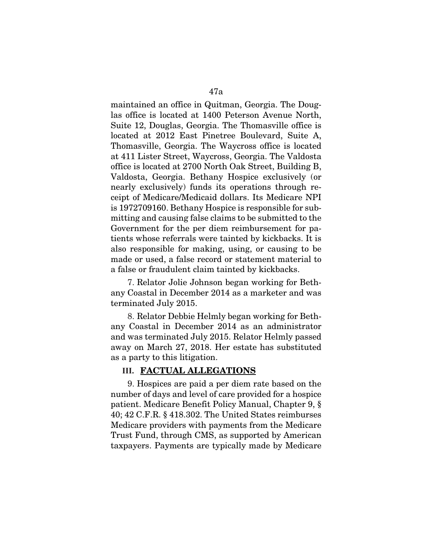maintained an office in Quitman, Georgia. The Douglas office is located at 1400 Peterson Avenue North, Suite 12, Douglas, Georgia. The Thomasville office is located at 2012 East Pinetree Boulevard, Suite A, Thomasville, Georgia. The Waycross office is located at 411 Lister Street, Waycross, Georgia. The Valdosta office is located at 2700 North Oak Street, Building B, Valdosta, Georgia. Bethany Hospice exclusively (or nearly exclusively) funds its operations through receipt of Medicare/Medicaid dollars. Its Medicare NPI is 1972709160. Bethany Hospice is responsible for submitting and causing false claims to be submitted to the Government for the per diem reimbursement for patients whose referrals were tainted by kickbacks. It is also responsible for making, using, or causing to be made or used, a false record or statement material to a false or fraudulent claim tainted by kickbacks.

7. Relator Jolie Johnson began working for Bethany Coastal in December 2014 as a marketer and was terminated July 2015.

8. Relator Debbie Helmly began working for Bethany Coastal in December 2014 as an administrator and was terminated July 2015. Relator Helmly passed away on March 27, 2018. Her estate has substituted as a party to this litigation.

### **III.** FACTUAL ALLEGATIONS

9. Hospices are paid a per diem rate based on the number of days and level of care provided for a hospice patient. Medicare Benefit Policy Manual, Chapter 9, § 40; 42 C.F.R. § 418.302. The United States reimburses Medicare providers with payments from the Medicare Trust Fund, through CMS, as supported by American taxpayers. Payments are typically made by Medicare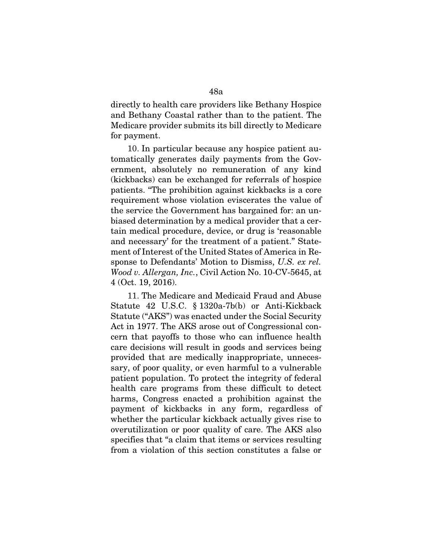directly to health care providers like Bethany Hospice and Bethany Coastal rather than to the patient. The Medicare provider submits its bill directly to Medicare for payment.

10. In particular because any hospice patient automatically generates daily payments from the Government, absolutely no remuneration of any kind (kickbacks) can be exchanged for referrals of hospice patients. "The prohibition against kickbacks is a core requirement whose violation eviscerates the value of the service the Government has bargained for: an unbiased determination by a medical provider that a certain medical procedure, device, or drug is 'reasonable and necessary' for the treatment of a patient." Statement of Interest of the United States of America in Response to Defendants' Motion to Dismiss, *U.S. ex rel. Wood v. Allergan, Inc.*, Civil Action No. 10-CV-5645, at 4 (Oct. 19, 2016).

11. The Medicare and Medicaid Fraud and Abuse Statute 42 U.S.C. § 1320a-7b(b) or Anti-Kickback Statute ("AKS") was enacted under the Social Security Act in 1977. The AKS arose out of Congressional concern that payoffs to those who can influence health care decisions will result in goods and services being provided that are medically inappropriate, unnecessary, of poor quality, or even harmful to a vulnerable patient population. To protect the integrity of federal health care programs from these difficult to detect harms, Congress enacted a prohibition against the payment of kickbacks in any form, regardless of whether the particular kickback actually gives rise to overutilization or poor quality of care. The AKS also specifies that "a claim that items or services resulting from a violation of this section constitutes a false or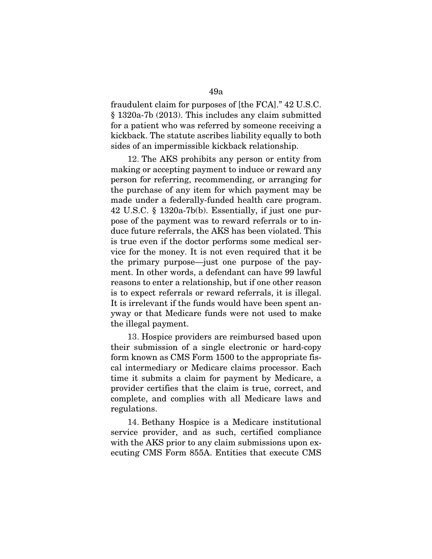fraudulent claim for purposes of [the FCA]." 42 U.S.C. § 1320a-7b (2013). This includes any claim submitted for a patient who was referred by someone receiving a kickback. The statute ascribes liability equally to both sides of an impermissible kickback relationship.

12. The AKS prohibits any person or entity from making or accepting payment to induce or reward any person for referring, recommending, or arranging for the purchase of any item for which payment may be made under a federally-funded health care program. 42 U.S.C. § 1320a-7b(b). Essentially, if just one purpose of the payment was to reward referrals or to induce future referrals, the AKS has been violated. This is true even if the doctor performs some medical service for the money. It is not even required that it be the primary purpose—just one purpose of the payment. In other words, a defendant can have 99 lawful reasons to enter a relationship, but if one other reason is to expect referrals or reward referrals, it is illegal. It is irrelevant if the funds would have been spent anyway or that Medicare funds were not used to make the illegal payment.

13. Hospice providers are reimbursed based upon their submission of a single electronic or hard-copy form known as CMS Form 1500 to the appropriate fiscal intermediary or Medicare claims processor. Each time it submits a claim for payment by Medicare, a provider certifies that the claim is true, correct, and complete, and complies with all Medicare laws and regulations.

14. Bethany Hospice is a Medicare institutional service provider, and as such, certified compliance with the AKS prior to any claim submissions upon executing CMS Form 855A. Entities that execute CMS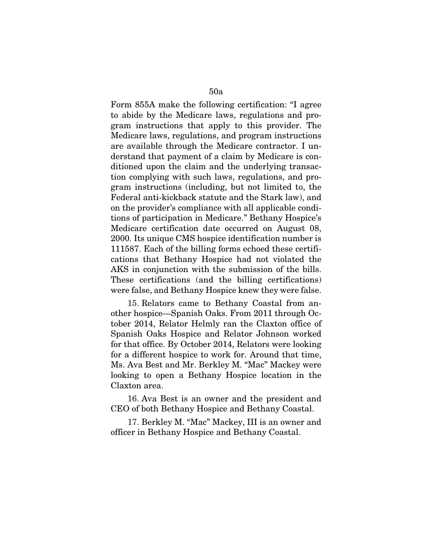Form 855A make the following certification: "I agree to abide by the Medicare laws, regulations and program instructions that apply to this provider. The Medicare laws, regulations, and program instructions are available through the Medicare contractor. I understand that payment of a claim by Medicare is conditioned upon the claim and the underlying transaction complying with such laws, regulations, and program instructions (including, but not limited to, the Federal anti-kickback statute and the Stark law), and on the provider's compliance with all applicable conditions of participation in Medicare." Bethany Hospice's Medicare certification date occurred on August 08, 2000. Its unique CMS hospice identification number is 111587. Each of the billing forms echoed these certifications that Bethany Hospice had not violated the

AKS in conjunction with the submission of the bills. These certifications (and the billing certifications) were false, and Bethany Hospice knew they were false.

15. Relators came to Bethany Coastal from another hospice—Spanish Oaks. From 2011 through October 2014, Relator Helmly ran the Claxton office of Spanish Oaks Hospice and Relator Johnson worked for that office. By October 2014, Relators were looking for a different hospice to work for. Around that time, Ms. Ava Best and Mr. Berkley M. "Mac" Mackey were looking to open a Bethany Hospice location in the Claxton area.

16. Ava Best is an owner and the president and CEO of both Bethany Hospice and Bethany Coastal.

17. Berkley M. "Mac" Mackey, III is an owner and officer in Bethany Hospice and Bethany Coastal.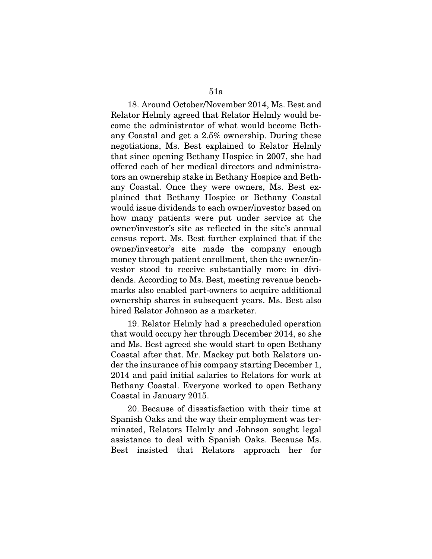18. Around October/November 2014, Ms. Best and Relator Helmly agreed that Relator Helmly would become the administrator of what would become Bethany Coastal and get a 2.5% ownership. During these negotiations, Ms. Best explained to Relator Helmly that since opening Bethany Hospice in 2007, she had offered each of her medical directors and administrators an ownership stake in Bethany Hospice and Bethany Coastal. Once they were owners, Ms. Best explained that Bethany Hospice or Bethany Coastal would issue dividends to each owner/investor based on how many patients were put under service at the owner/investor's site as reflected in the site's annual census report. Ms. Best further explained that if the owner/investor's site made the company enough money through patient enrollment, then the owner/investor stood to receive substantially more in dividends. According to Ms. Best, meeting revenue benchmarks also enabled part-owners to acquire additional ownership shares in subsequent years. Ms. Best also hired Relator Johnson as a marketer.

19. Relator Helmly had a prescheduled operation that would occupy her through December 2014, so she and Ms. Best agreed she would start to open Bethany Coastal after that. Mr. Mackey put both Relators under the insurance of his company starting December 1, 2014 and paid initial salaries to Relators for work at Bethany Coastal. Everyone worked to open Bethany Coastal in January 2015.

20. Because of dissatisfaction with their time at Spanish Oaks and the way their employment was terminated, Relators Helmly and Johnson sought legal assistance to deal with Spanish Oaks. Because Ms. Best insisted that Relators approach her for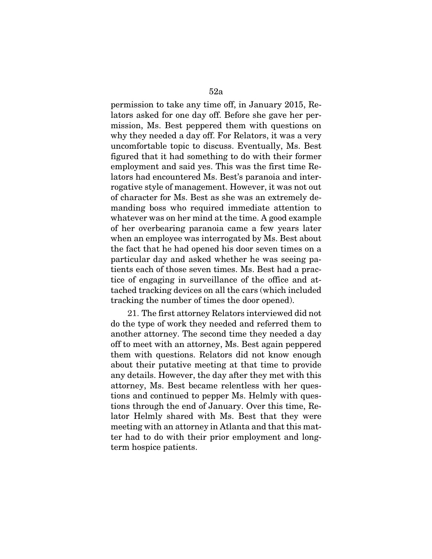52a permission to take any time off, in January 2015, Re-

lators asked for one day off. Before she gave her permission, Ms. Best peppered them with questions on why they needed a day off. For Relators, it was a very uncomfortable topic to discuss. Eventually, Ms. Best figured that it had something to do with their former employment and said yes. This was the first time Relators had encountered Ms. Best's paranoia and interrogative style of management. However, it was not out of character for Ms. Best as she was an extremely demanding boss who required immediate attention to whatever was on her mind at the time. A good example of her overbearing paranoia came a few years later when an employee was interrogated by Ms. Best about the fact that he had opened his door seven times on a particular day and asked whether he was seeing patients each of those seven times. Ms. Best had a practice of engaging in surveillance of the office and attached tracking devices on all the cars (which included tracking the number of times the door opened).

21. The first attorney Relators interviewed did not do the type of work they needed and referred them to another attorney. The second time they needed a day off to meet with an attorney, Ms. Best again peppered them with questions. Relators did not know enough about their putative meeting at that time to provide any details. However, the day after they met with this attorney, Ms. Best became relentless with her questions and continued to pepper Ms. Helmly with questions through the end of January. Over this time, Relator Helmly shared with Ms. Best that they were meeting with an attorney in Atlanta and that this matter had to do with their prior employment and longterm hospice patients.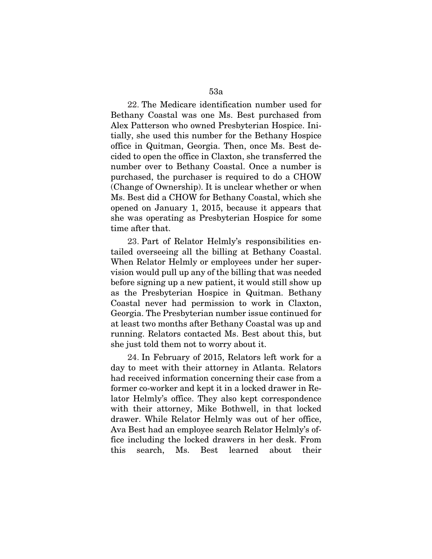22. The Medicare identification number used for Bethany Coastal was one Ms. Best purchased from Alex Patterson who owned Presbyterian Hospice. Initially, she used this number for the Bethany Hospice office in Quitman, Georgia. Then, once Ms. Best decided to open the office in Claxton, she transferred the number over to Bethany Coastal. Once a number is purchased, the purchaser is required to do a CHOW (Change of Ownership). It is unclear whether or when Ms. Best did a CHOW for Bethany Coastal, which she opened on January 1, 2015, because it appears that she was operating as Presbyterian Hospice for some time after that.

23. Part of Relator Helmly's responsibilities entailed overseeing all the billing at Bethany Coastal. When Relator Helmly or employees under her supervision would pull up any of the billing that was needed before signing up a new patient, it would still show up as the Presbyterian Hospice in Quitman. Bethany Coastal never had permission to work in Claxton, Georgia. The Presbyterian number issue continued for at least two months after Bethany Coastal was up and running. Relators contacted Ms. Best about this, but she just told them not to worry about it.

24. In February of 2015, Relators left work for a day to meet with their attorney in Atlanta. Relators had received information concerning their case from a former co-worker and kept it in a locked drawer in Relator Helmly's office. They also kept correspondence with their attorney, Mike Bothwell, in that locked drawer. While Relator Helmly was out of her office, Ava Best had an employee search Relator Helmly's office including the locked drawers in her desk. From this search, Ms. Best learned about their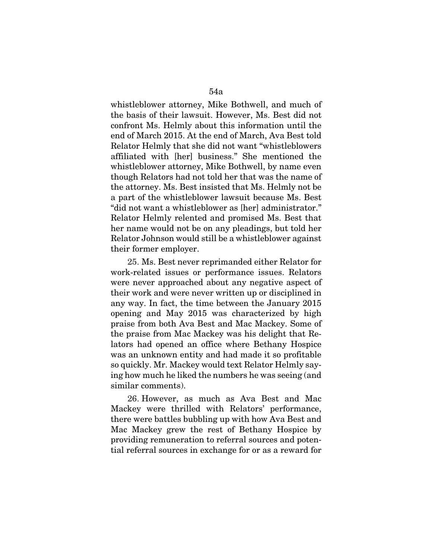whistleblower attorney, Mike Bothwell, and much of the basis of their lawsuit. However, Ms. Best did not confront Ms. Helmly about this information until the end of March 2015. At the end of March, Ava Best told Relator Helmly that she did not want "whistleblowers affiliated with [her] business." She mentioned the whistleblower attorney, Mike Bothwell, by name even though Relators had not told her that was the name of the attorney. Ms. Best insisted that Ms. Helmly not be a part of the whistleblower lawsuit because Ms. Best "did not want a whistleblower as [her] administrator." Relator Helmly relented and promised Ms. Best that her name would not be on any pleadings, but told her Relator Johnson would still be a whistleblower against their former employer.

25. Ms. Best never reprimanded either Relator for work-related issues or performance issues. Relators were never approached about any negative aspect of their work and were never written up or disciplined in any way. In fact, the time between the January 2015 opening and May 2015 was characterized by high praise from both Ava Best and Mac Mackey. Some of the praise from Mac Mackey was his delight that Relators had opened an office where Bethany Hospice was an unknown entity and had made it so profitable so quickly. Mr. Mackey would text Relator Helmly saying how much he liked the numbers he was seeing (and similar comments).

26. However, as much as Ava Best and Mac Mackey were thrilled with Relators' performance, there were battles bubbling up with how Ava Best and Mac Mackey grew the rest of Bethany Hospice by providing remuneration to referral sources and potential referral sources in exchange for or as a reward for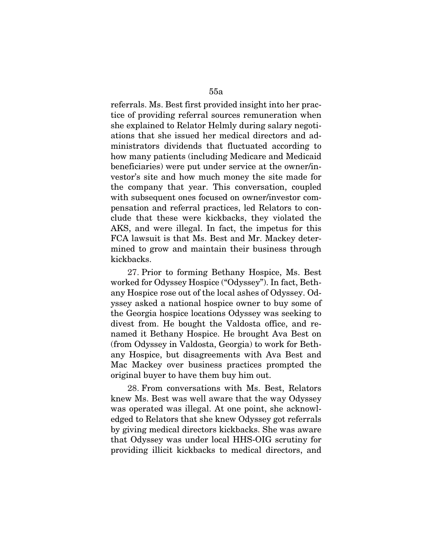referrals. Ms. Best first provided insight into her practice of providing referral sources remuneration when she explained to Relator Helmly during salary negotiations that she issued her medical directors and administrators dividends that fluctuated according to how many patients (including Medicare and Medicaid beneficiaries) were put under service at the owner/investor's site and how much money the site made for the company that year. This conversation, coupled with subsequent ones focused on owner/investor compensation and referral practices, led Relators to conclude that these were kickbacks, they violated the AKS, and were illegal. In fact, the impetus for this FCA lawsuit is that Ms. Best and Mr. Mackey determined to grow and maintain their business through kickbacks.

27. Prior to forming Bethany Hospice, Ms. Best worked for Odyssey Hospice ("Odyssey"). In fact, Bethany Hospice rose out of the local ashes of Odyssey. Odyssey asked a national hospice owner to buy some of the Georgia hospice locations Odyssey was seeking to divest from. He bought the Valdosta office, and renamed it Bethany Hospice. He brought Ava Best on (from Odyssey in Valdosta, Georgia) to work for Bethany Hospice, but disagreements with Ava Best and Mac Mackey over business practices prompted the original buyer to have them buy him out.

28. From conversations with Ms. Best, Relators knew Ms. Best was well aware that the way Odyssey was operated was illegal. At one point, she acknowledged to Relators that she knew Odyssey got referrals by giving medical directors kickbacks. She was aware that Odyssey was under local HHS-OIG scrutiny for providing illicit kickbacks to medical directors, and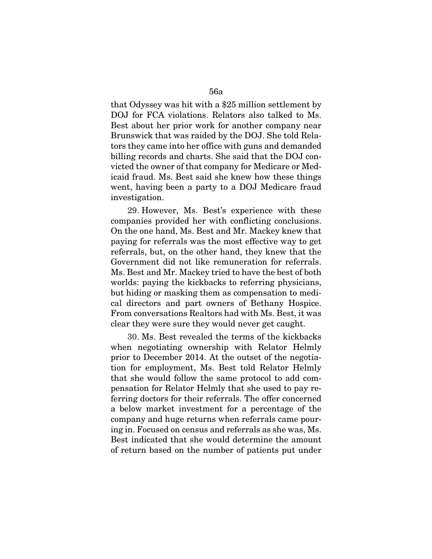that Odyssey was hit with a \$25 million settlement by DOJ for FCA violations. Relators also talked to Ms. Best about her prior work for another company near Brunswick that was raided by the DOJ. She told Relators they came into her office with guns and demanded billing records and charts. She said that the DOJ convicted the owner of that company for Medicare or Medicaid fraud. Ms. Best said she knew how these things went, having been a party to a DOJ Medicare fraud investigation.

29. However, Ms. Best's experience with these companies provided her with conflicting conclusions. On the one hand, Ms. Best and Mr. Mackey knew that paying for referrals was the most effective way to get referrals, but, on the other hand, they knew that the Government did not like remuneration for referrals. Ms. Best and Mr. Mackey tried to have the best of both worlds: paying the kickbacks to referring physicians, but hiding or masking them as compensation to medical directors and part owners of Bethany Hospice. From conversations Realtors had with Ms. Best, it was clear they were sure they would never get caught.

30. Ms. Best revealed the terms of the kickbacks when negotiating ownership with Relator Helmly prior to December 2014. At the outset of the negotiation for employment, Ms. Best told Relator Helmly that she would follow the same protocol to add compensation for Relator Helmly that she used to pay referring doctors for their referrals. The offer concerned a below market investment for a percentage of the company and huge returns when referrals came pouring in. Focused on census and referrals as she was, Ms. Best indicated that she would determine the amount of return based on the number of patients put under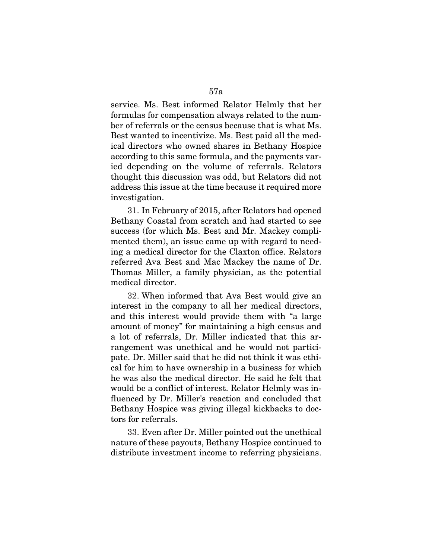service. Ms. Best informed Relator Helmly that her formulas for compensation always related to the number of referrals or the census because that is what Ms. Best wanted to incentivize. Ms. Best paid all the medical directors who owned shares in Bethany Hospice according to this same formula, and the payments varied depending on the volume of referrals. Relators thought this discussion was odd, but Relators did not address this issue at the time because it required more investigation.

31. In February of 2015, after Relators had opened Bethany Coastal from scratch and had started to see success (for which Ms. Best and Mr. Mackey complimented them), an issue came up with regard to needing a medical director for the Claxton office. Relators referred Ava Best and Mac Mackey the name of Dr. Thomas Miller, a family physician, as the potential medical director.

32. When informed that Ava Best would give an interest in the company to all her medical directors, and this interest would provide them with "a large amount of money" for maintaining a high census and a lot of referrals, Dr. Miller indicated that this arrangement was unethical and he would not participate. Dr. Miller said that he did not think it was ethical for him to have ownership in a business for which he was also the medical director. He said he felt that would be a conflict of interest. Relator Helmly was influenced by Dr. Miller's reaction and concluded that Bethany Hospice was giving illegal kickbacks to doctors for referrals.

33. Even after Dr. Miller pointed out the unethical nature of these payouts, Bethany Hospice continued to distribute investment income to referring physicians.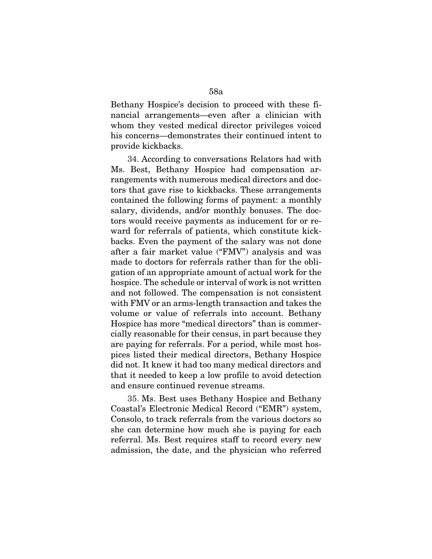Bethany Hospice's decision to proceed with these financial arrangements—even after a clinician with whom they vested medical director privileges voiced his concerns—demonstrates their continued intent to provide kickbacks.

34. According to conversations Relators had with Ms. Best, Bethany Hospice had compensation arrangements with numerous medical directors and doctors that gave rise to kickbacks. These arrangements contained the following forms of payment: a monthly salary, dividends, and/or monthly bonuses. The doctors would receive payments as inducement for or reward for referrals of patients, which constitute kickbacks. Even the payment of the salary was not done after a fair market value ("FMV") analysis and was made to doctors for referrals rather than for the obligation of an appropriate amount of actual work for the hospice. The schedule or interval of work is not written and not followed. The compensation is not consistent with FMV or an arms-length transaction and takes the volume or value of referrals into account. Bethany Hospice has more "medical directors" than is commercially reasonable for their census, in part because they are paying for referrals. For a period, while most hospices listed their medical directors, Bethany Hospice did not. It knew it had too many medical directors and that it needed to keep a low profile to avoid detection and ensure continued revenue streams.

35. Ms. Best uses Bethany Hospice and Bethany Coastal's Electronic Medical Record ("EMR") system, Consolo, to track referrals from the various doctors so she can determine how much she is paying for each referral. Ms. Best requires staff to record every new admission, the date, and the physician who referred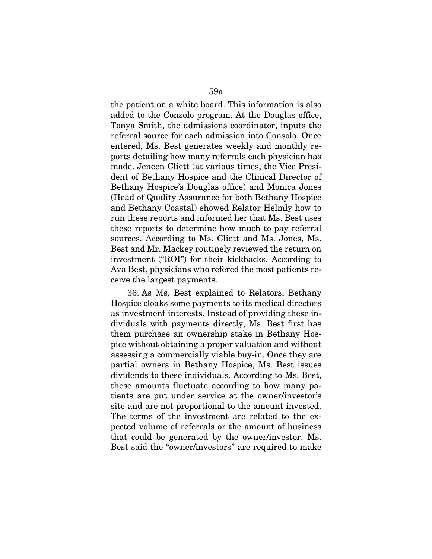the patient on a white board. This information is also added to the Consolo program. At the Douglas office, Tonya Smith, the admissions coordinator, inputs the referral source for each admission into Consolo. Once entered, Ms. Best generates weekly and monthly reports detailing how many referrals each physician has made. Jeneen Cliett (at various times, the Vice President of Bethany Hospice and the Clinical Director of Bethany Hospice's Douglas office) and Monica Jones (Head of Quality Assurance for both Bethany Hospice and Bethany Coastal) showed Relator Helmly how to run these reports and informed her that Ms. Best uses these reports to determine how much to pay referral sources. According to Ms. Cliett and Ms. Jones, Ms. Best and Mr. Mackey routinely reviewed the return on investment ("ROI") for their kickbacks. According to Ava Best, physicians who refered the most patients receive the largest payments.

36. As Ms. Best explained to Relators, Bethany Hospice cloaks some payments to its medical directors as investment interests. Instead of providing these individuals with payments directly, Ms. Best first has them purchase an ownership stake in Bethany Hospice without obtaining a proper valuation and without assessing a commercially viable buy-in. Once they are partial owners in Bethany Hospice, Ms. Best issues dividends to these individuals. According to Ms. Best, these amounts fluctuate according to how many patients are put under service at the owner/investor's site and are not proportional to the amount invested. The terms of the investment are related to the expected volume of referrals or the amount of business that could be generated by the owner/investor. Ms. Best said the "owner/investors" are required to make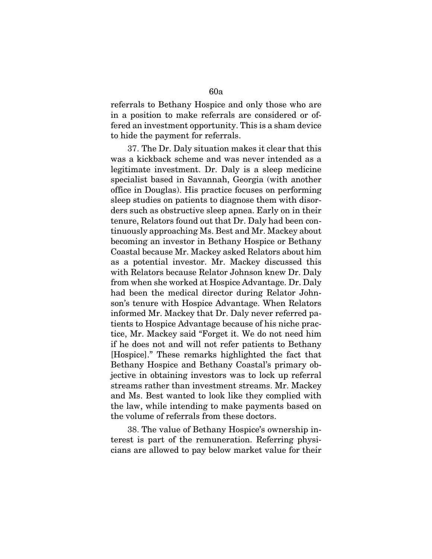referrals to Bethany Hospice and only those who are in a position to make referrals are considered or offered an investment opportunity. This is a sham device to hide the payment for referrals.

37. The Dr. Daly situation makes it clear that this was a kickback scheme and was never intended as a legitimate investment. Dr. Daly is a sleep medicine specialist based in Savannah, Georgia (with another office in Douglas). His practice focuses on performing sleep studies on patients to diagnose them with disorders such as obstructive sleep apnea. Early on in their tenure, Relators found out that Dr. Daly had been continuously approaching Ms. Best and Mr. Mackey about becoming an investor in Bethany Hospice or Bethany Coastal because Mr. Mackey asked Relators about him as a potential investor. Mr. Mackey discussed this with Relators because Relator Johnson knew Dr. Daly from when she worked at Hospice Advantage. Dr. Daly had been the medical director during Relator Johnson's tenure with Hospice Advantage. When Relators informed Mr. Mackey that Dr. Daly never referred patients to Hospice Advantage because of his niche practice, Mr. Mackey said "Forget it. We do not need him if he does not and will not refer patients to Bethany [Hospice]." These remarks highlighted the fact that Bethany Hospice and Bethany Coastal's primary objective in obtaining investors was to lock up referral streams rather than investment streams. Mr. Mackey and Ms. Best wanted to look like they complied with the law, while intending to make payments based on the volume of referrals from these doctors.

38. The value of Bethany Hospice's ownership interest is part of the remuneration. Referring physicians are allowed to pay below market value for their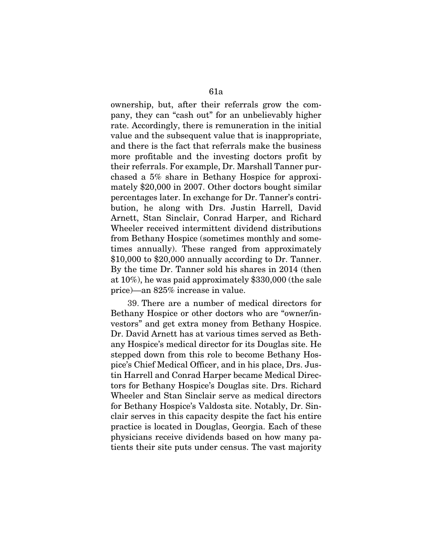ownership, but, after their referrals grow the company, they can "cash out" for an unbelievably higher rate. Accordingly, there is remuneration in the initial value and the subsequent value that is inappropriate, and there is the fact that referrals make the business more profitable and the investing doctors profit by their referrals. For example, Dr. Marshall Tanner purchased a 5% share in Bethany Hospice for approximately \$20,000 in 2007. Other doctors bought similar percentages later. In exchange for Dr. Tanner's contribution, he along with Drs. Justin Harrell, David Arnett, Stan Sinclair, Conrad Harper, and Richard Wheeler received intermittent dividend distributions from Bethany Hospice (sometimes monthly and sometimes annually). These ranged from approximately \$10,000 to \$20,000 annually according to Dr. Tanner. By the time Dr. Tanner sold his shares in 2014 (then at 10%), he was paid approximately \$330,000 (the sale price)—an 825% increase in value.

39. There are a number of medical directors for Bethany Hospice or other doctors who are "owner/investors" and get extra money from Bethany Hospice. Dr. David Arnett has at various times served as Bethany Hospice's medical director for its Douglas site. He stepped down from this role to become Bethany Hospice's Chief Medical Officer, and in his place, Drs. Justin Harrell and Conrad Harper became Medical Directors for Bethany Hospice's Douglas site. Drs. Richard Wheeler and Stan Sinclair serve as medical directors for Bethany Hospice's Valdosta site. Notably, Dr. Sinclair serves in this capacity despite the fact his entire practice is located in Douglas, Georgia. Each of these physicians receive dividends based on how many patients their site puts under census. The vast majority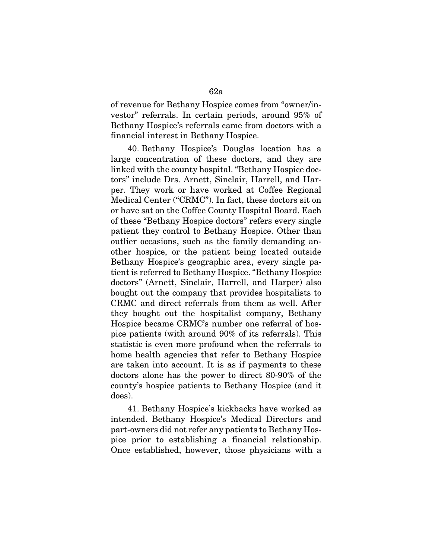of revenue for Bethany Hospice comes from "owner/investor" referrals. In certain periods, around 95% of Bethany Hospice's referrals came from doctors with a financial interest in Bethany Hospice.

40. Bethany Hospice's Douglas location has a large concentration of these doctors, and they are linked with the county hospital. "Bethany Hospice doctors" include Drs. Arnett, Sinclair, Harrell, and Harper. They work or have worked at Coffee Regional Medical Center ("CRMC"). In fact, these doctors sit on or have sat on the Coffee County Hospital Board. Each of these "Bethany Hospice doctors" refers every single patient they control to Bethany Hospice. Other than outlier occasions, such as the family demanding another hospice, or the patient being located outside Bethany Hospice's geographic area, every single patient is referred to Bethany Hospice. "Bethany Hospice doctors" (Arnett, Sinclair, Harrell, and Harper) also bought out the company that provides hospitalists to CRMC and direct referrals from them as well. After they bought out the hospitalist company, Bethany Hospice became CRMC's number one referral of hospice patients (with around 90% of its referrals). This statistic is even more profound when the referrals to home health agencies that refer to Bethany Hospice are taken into account. It is as if payments to these doctors alone has the power to direct 80-90% of the county's hospice patients to Bethany Hospice (and it does).

41. Bethany Hospice's kickbacks have worked as intended. Bethany Hospice's Medical Directors and part-owners did not refer any patients to Bethany Hospice prior to establishing a financial relationship. Once established, however, those physicians with a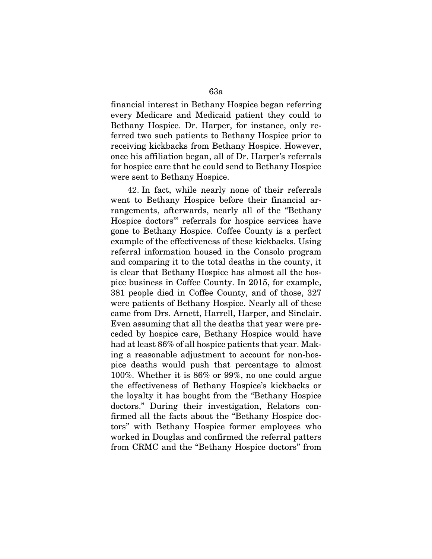financial interest in Bethany Hospice began referring every Medicare and Medicaid patient they could to Bethany Hospice. Dr. Harper, for instance, only referred two such patients to Bethany Hospice prior to receiving kickbacks from Bethany Hospice. However, once his affiliation began, all of Dr. Harper's referrals for hospice care that he could send to Bethany Hospice were sent to Bethany Hospice.

42. In fact, while nearly none of their referrals went to Bethany Hospice before their financial arrangements, afterwards, nearly all of the "Bethany Hospice doctors'" referrals for hospice services have gone to Bethany Hospice. Coffee County is a perfect example of the effectiveness of these kickbacks. Using referral information housed in the Consolo program and comparing it to the total deaths in the county, it is clear that Bethany Hospice has almost all the hospice business in Coffee County. In 2015, for example, 381 people died in Coffee County, and of those, 327 were patients of Bethany Hospice. Nearly all of these came from Drs. Arnett, Harrell, Harper, and Sinclair. Even assuming that all the deaths that year were preceded by hospice care, Bethany Hospice would have had at least 86% of all hospice patients that year. Making a reasonable adjustment to account for non-hospice deaths would push that percentage to almost 100%. Whether it is 86% or 99%, no one could argue the effectiveness of Bethany Hospice's kickbacks or the loyalty it has bought from the "Bethany Hospice doctors." During their investigation, Relators confirmed all the facts about the "Bethany Hospice doctors" with Bethany Hospice former employees who worked in Douglas and confirmed the referral patters from CRMC and the "Bethany Hospice doctors" from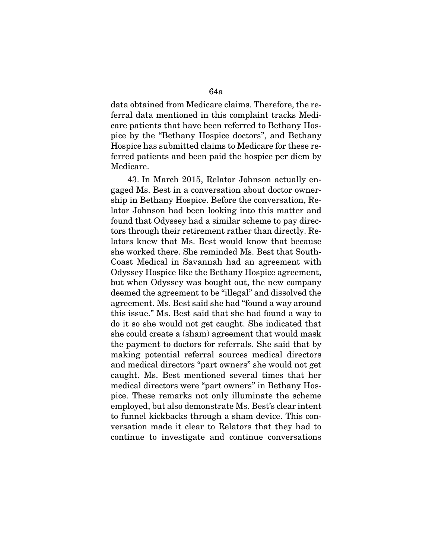data obtained from Medicare claims. Therefore, the referral data mentioned in this complaint tracks Medicare patients that have been referred to Bethany Hospice by the "Bethany Hospice doctors", and Bethany Hospice has submitted claims to Medicare for these referred patients and been paid the hospice per diem by Medicare.

43. In March 2015, Relator Johnson actually engaged Ms. Best in a conversation about doctor ownership in Bethany Hospice. Before the conversation, Relator Johnson had been looking into this matter and found that Odyssey had a similar scheme to pay directors through their retirement rather than directly. Relators knew that Ms. Best would know that because she worked there. She reminded Ms. Best that South-Coast Medical in Savannah had an agreement with Odyssey Hospice like the Bethany Hospice agreement, but when Odyssey was bought out, the new company deemed the agreement to be "illegal" and dissolved the agreement. Ms. Best said she had "found a way around this issue." Ms. Best said that she had found a way to do it so she would not get caught. She indicated that she could create a (sham) agreement that would mask the payment to doctors for referrals. She said that by making potential referral sources medical directors and medical directors "part owners" she would not get caught. Ms. Best mentioned several times that her medical directors were "part owners" in Bethany Hospice. These remarks not only illuminate the scheme employed, but also demonstrate Ms. Best's clear intent to funnel kickbacks through a sham device. This conversation made it clear to Relators that they had to continue to investigate and continue conversations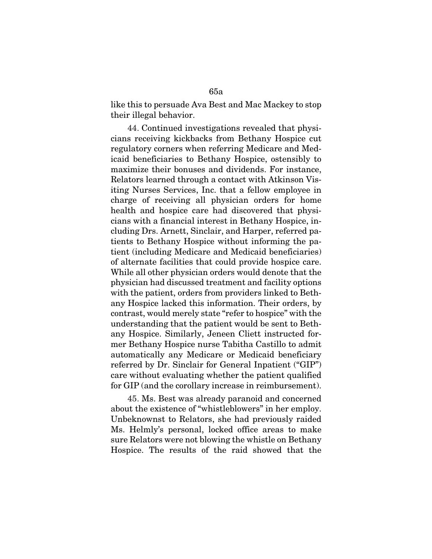like this to persuade Ava Best and Mac Mackey to stop their illegal behavior.

44. Continued investigations revealed that physicians receiving kickbacks from Bethany Hospice cut regulatory corners when referring Medicare and Medicaid beneficiaries to Bethany Hospice, ostensibly to maximize their bonuses and dividends. For instance, Relators learned through a contact with Atkinson Visiting Nurses Services, Inc. that a fellow employee in charge of receiving all physician orders for home health and hospice care had discovered that physicians with a financial interest in Bethany Hospice, including Drs. Arnett, Sinclair, and Harper, referred patients to Bethany Hospice without informing the patient (including Medicare and Medicaid beneficiaries) of alternate facilities that could provide hospice care. While all other physician orders would denote that the physician had discussed treatment and facility options with the patient, orders from providers linked to Bethany Hospice lacked this information. Their orders, by contrast, would merely state "refer to hospice" with the understanding that the patient would be sent to Bethany Hospice. Similarly, Jeneen Cliett instructed former Bethany Hospice nurse Tabitha Castillo to admit automatically any Medicare or Medicaid beneficiary referred by Dr. Sinclair for General Inpatient ("GIP") care without evaluating whether the patient qualified for GIP (and the corollary increase in reimbursement).

45. Ms. Best was already paranoid and concerned about the existence of "whistleblowers" in her employ. Unbeknownst to Relators, she had previously raided Ms. Helmly's personal, locked office areas to make sure Relators were not blowing the whistle on Bethany Hospice. The results of the raid showed that the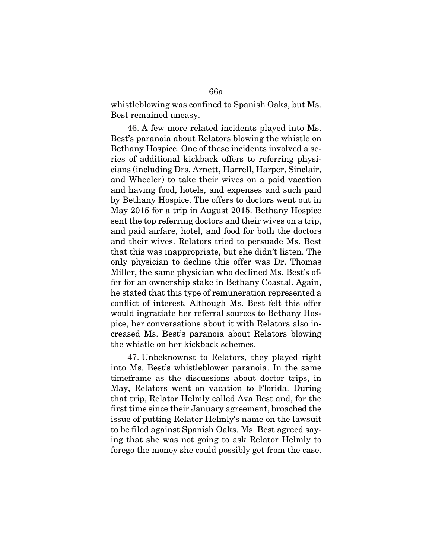whistleblowing was confined to Spanish Oaks, but Ms. Best remained uneasy.

46. A few more related incidents played into Ms. Best's paranoia about Relators blowing the whistle on Bethany Hospice. One of these incidents involved a series of additional kickback offers to referring physicians (including Drs. Arnett, Harrell, Harper, Sinclair, and Wheeler) to take their wives on a paid vacation and having food, hotels, and expenses and such paid by Bethany Hospice. The offers to doctors went out in May 2015 for a trip in August 2015. Bethany Hospice sent the top referring doctors and their wives on a trip, and paid airfare, hotel, and food for both the doctors and their wives. Relators tried to persuade Ms. Best that this was inappropriate, but she didn't listen. The only physician to decline this offer was Dr. Thomas Miller, the same physician who declined Ms. Best's offer for an ownership stake in Bethany Coastal. Again, he stated that this type of remuneration represented a conflict of interest. Although Ms. Best felt this offer would ingratiate her referral sources to Bethany Hospice, her conversations about it with Relators also increased Ms. Best's paranoia about Relators blowing the whistle on her kickback schemes.

47. Unbeknownst to Relators, they played right into Ms. Best's whistleblower paranoia. In the same timeframe as the discussions about doctor trips, in May, Relators went on vacation to Florida. During that trip, Relator Helmly called Ava Best and, for the first time since their January agreement, broached the issue of putting Relator Helmly's name on the lawsuit to be filed against Spanish Oaks. Ms. Best agreed saying that she was not going to ask Relator Helmly to forego the money she could possibly get from the case.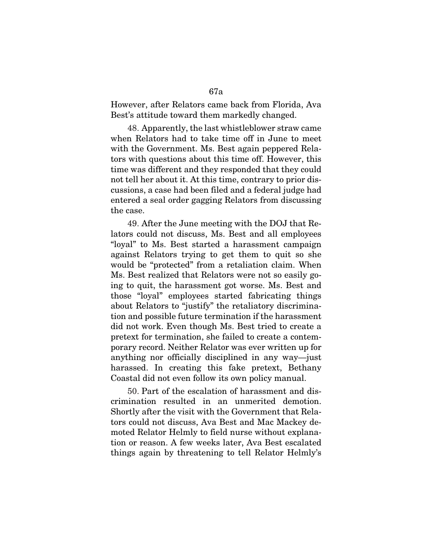However, after Relators came back from Florida, Ava Best's attitude toward them markedly changed.

48. Apparently, the last whistleblower straw came when Relators had to take time off in June to meet with the Government. Ms. Best again peppered Relators with questions about this time off. However, this time was different and they responded that they could not tell her about it. At this time, contrary to prior discussions, a case had been filed and a federal judge had entered a seal order gagging Relators from discussing the case.

49. After the June meeting with the DOJ that Relators could not discuss, Ms. Best and all employees "loyal" to Ms. Best started a harassment campaign against Relators trying to get them to quit so she would be "protected" from a retaliation claim. When Ms. Best realized that Relators were not so easily going to quit, the harassment got worse. Ms. Best and those "loyal" employees started fabricating things about Relators to "justify" the retaliatory discrimination and possible future termination if the harassment did not work. Even though Ms. Best tried to create a pretext for termination, she failed to create a contemporary record. Neither Relator was ever written up for anything nor officially disciplined in any way—just harassed. In creating this fake pretext, Bethany Coastal did not even follow its own policy manual.

50. Part of the escalation of harassment and discrimination resulted in an unmerited demotion. Shortly after the visit with the Government that Relators could not discuss, Ava Best and Mac Mackey demoted Relator Helmly to field nurse without explanation or reason. A few weeks later, Ava Best escalated things again by threatening to tell Relator Helmly's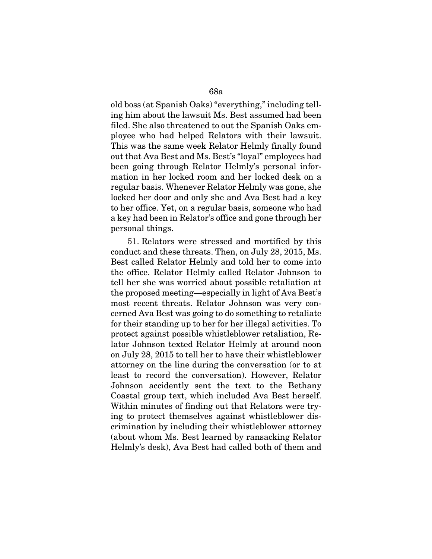old boss (at Spanish Oaks) "everything," including telling him about the lawsuit Ms. Best assumed had been filed. She also threatened to out the Spanish Oaks employee who had helped Relators with their lawsuit. This was the same week Relator Helmly finally found out that Ava Best and Ms. Best's "loyal" employees had been going through Relator Helmly's personal information in her locked room and her locked desk on a regular basis. Whenever Relator Helmly was gone, she locked her door and only she and Ava Best had a key to her office. Yet, on a regular basis, someone who had a key had been in Relator's office and gone through her personal things.

51. Relators were stressed and mortified by this conduct and these threats. Then, on July 28, 2015, Ms. Best called Relator Helmly and told her to come into the office. Relator Helmly called Relator Johnson to tell her she was worried about possible retaliation at the proposed meeting—especially in light of Ava Best's most recent threats. Relator Johnson was very concerned Ava Best was going to do something to retaliate for their standing up to her for her illegal activities. To protect against possible whistleblower retaliation, Relator Johnson texted Relator Helmly at around noon on July 28, 2015 to tell her to have their whistleblower attorney on the line during the conversation (or to at least to record the conversation). However, Relator Johnson accidently sent the text to the Bethany Coastal group text, which included Ava Best herself. Within minutes of finding out that Relators were trying to protect themselves against whistleblower discrimination by including their whistleblower attorney (about whom Ms. Best learned by ransacking Relator Helmly's desk), Ava Best had called both of them and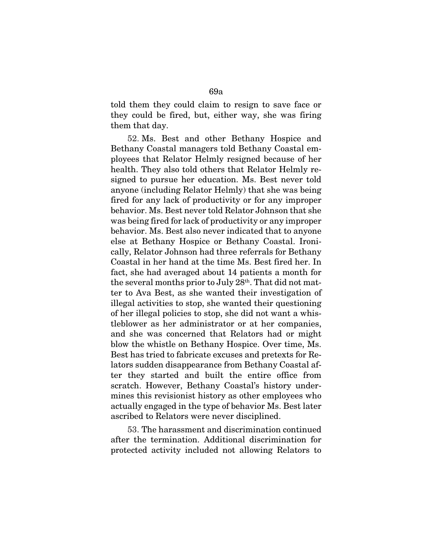told them they could claim to resign to save face or they could be fired, but, either way, she was firing them that day.

52. Ms. Best and other Bethany Hospice and Bethany Coastal managers told Bethany Coastal employees that Relator Helmly resigned because of her health. They also told others that Relator Helmly resigned to pursue her education. Ms. Best never told anyone (including Relator Helmly) that she was being fired for any lack of productivity or for any improper behavior. Ms. Best never told Relator Johnson that she was being fired for lack of productivity or any improper behavior. Ms. Best also never indicated that to anyone else at Bethany Hospice or Bethany Coastal. Ironically, Relator Johnson had three referrals for Bethany Coastal in her hand at the time Ms. Best fired her. In fact, she had averaged about 14 patients a month for the several months prior to July  $28<sup>th</sup>$ . That did not matter to Ava Best, as she wanted their investigation of illegal activities to stop, she wanted their questioning of her illegal policies to stop, she did not want a whistleblower as her administrator or at her companies, and she was concerned that Relators had or might blow the whistle on Bethany Hospice. Over time, Ms. Best has tried to fabricate excuses and pretexts for Relators sudden disappearance from Bethany Coastal after they started and built the entire office from scratch. However, Bethany Coastal's history undermines this revisionist history as other employees who actually engaged in the type of behavior Ms. Best later ascribed to Relators were never disciplined.

53. The harassment and discrimination continued after the termination. Additional discrimination for protected activity included not allowing Relators to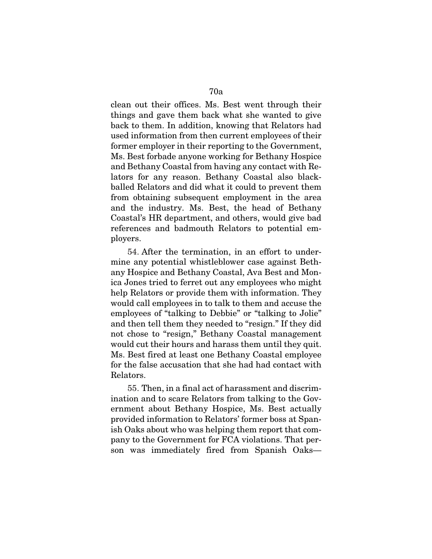clean out their offices. Ms. Best went through their things and gave them back what she wanted to give back to them. In addition, knowing that Relators had used information from then current employees of their former employer in their reporting to the Government, Ms. Best forbade anyone working for Bethany Hospice and Bethany Coastal from having any contact with Relators for any reason. Bethany Coastal also blackballed Relators and did what it could to prevent them from obtaining subsequent employment in the area and the industry. Ms. Best, the head of Bethany Coastal's HR department, and others, would give bad references and badmouth Relators to potential em-

ployers.

54. After the termination, in an effort to undermine any potential whistleblower case against Bethany Hospice and Bethany Coastal, Ava Best and Monica Jones tried to ferret out any employees who might help Relators or provide them with information. They would call employees in to talk to them and accuse the employees of "talking to Debbie" or "talking to Jolie" and then tell them they needed to "resign." If they did not chose to "resign," Bethany Coastal management would cut their hours and harass them until they quit. Ms. Best fired at least one Bethany Coastal employee for the false accusation that she had had contact with Relators.

55. Then, in a final act of harassment and discrimination and to scare Relators from talking to the Government about Bethany Hospice, Ms. Best actually provided information to Relators' former boss at Spanish Oaks about who was helping them report that company to the Government for FCA violations. That person was immediately fired from Spanish Oaks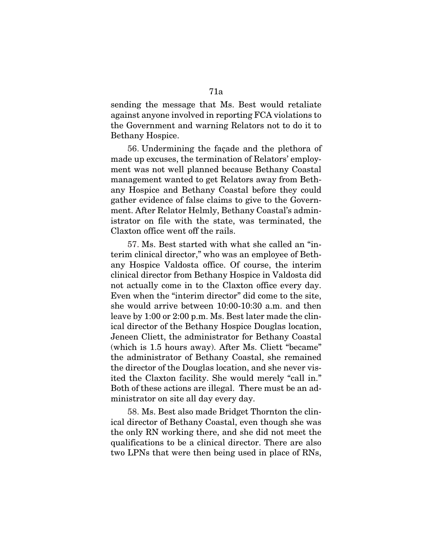sending the message that Ms. Best would retaliate against anyone involved in reporting FCA violations to the Government and warning Relators not to do it to Bethany Hospice.

56. Undermining the façade and the plethora of made up excuses, the termination of Relators' employment was not well planned because Bethany Coastal management wanted to get Relators away from Bethany Hospice and Bethany Coastal before they could gather evidence of false claims to give to the Government. After Relator Helmly, Bethany Coastal's administrator on file with the state, was terminated, the Claxton office went off the rails.

57. Ms. Best started with what she called an "interim clinical director," who was an employee of Bethany Hospice Valdosta office. Of course, the interim clinical director from Bethany Hospice in Valdosta did not actually come in to the Claxton office every day. Even when the "interim director" did come to the site, she would arrive between 10:00-10:30 a.m. and then leave by 1:00 or 2:00 p.m. Ms. Best later made the clinical director of the Bethany Hospice Douglas location, Jeneen Cliett, the administrator for Bethany Coastal (which is 1.5 hours away). After Ms. Cliett "became" the administrator of Bethany Coastal, she remained the director of the Douglas location, and she never visited the Claxton facility. She would merely "call in." Both of these actions are illegal. There must be an administrator on site all day every day.

58. Ms. Best also made Bridget Thornton the clinical director of Bethany Coastal, even though she was the only RN working there, and she did not meet the qualifications to be a clinical director. There are also two LPNs that were then being used in place of RNs,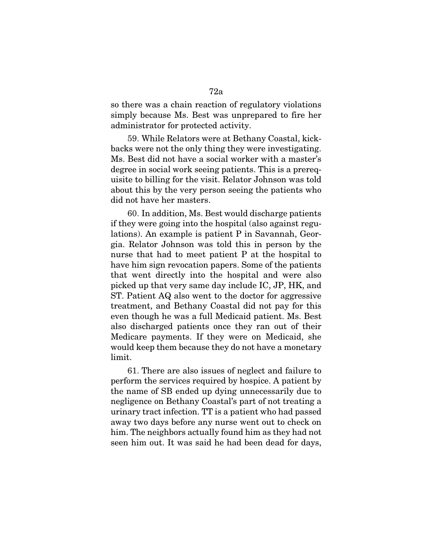so there was a chain reaction of regulatory violations simply because Ms. Best was unprepared to fire her administrator for protected activity.

59. While Relators were at Bethany Coastal, kickbacks were not the only thing they were investigating. Ms. Best did not have a social worker with a master's degree in social work seeing patients. This is a prerequisite to billing for the visit. Relator Johnson was told about this by the very person seeing the patients who did not have her masters.

60. In addition, Ms. Best would discharge patients if they were going into the hospital (also against regulations). An example is patient P in Savannah, Georgia. Relator Johnson was told this in person by the nurse that had to meet patient P at the hospital to have him sign revocation papers. Some of the patients that went directly into the hospital and were also picked up that very same day include IC, JP, HK, and ST. Patient AQ also went to the doctor for aggressive treatment, and Bethany Coastal did not pay for this even though he was a full Medicaid patient. Ms. Best also discharged patients once they ran out of their Medicare payments. If they were on Medicaid, she would keep them because they do not have a monetary limit.

61. There are also issues of neglect and failure to perform the services required by hospice. A patient by the name of SB ended up dying unnecessarily due to negligence on Bethany Coastal's part of not treating a urinary tract infection. TT is a patient who had passed away two days before any nurse went out to check on him. The neighbors actually found him as they had not seen him out. It was said he had been dead for days,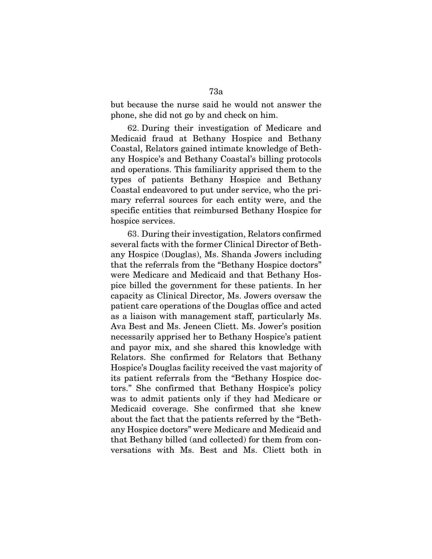but because the nurse said he would not answer the phone, she did not go by and check on him.

62. During their investigation of Medicare and Medicaid fraud at Bethany Hospice and Bethany Coastal, Relators gained intimate knowledge of Bethany Hospice's and Bethany Coastal's billing protocols and operations. This familiarity apprised them to the types of patients Bethany Hospice and Bethany Coastal endeavored to put under service, who the primary referral sources for each entity were, and the specific entities that reimbursed Bethany Hospice for hospice services.

63. During their investigation, Relators confirmed several facts with the former Clinical Director of Bethany Hospice (Douglas), Ms. Shanda Jowers including that the referrals from the "Bethany Hospice doctors" were Medicare and Medicaid and that Bethany Hospice billed the government for these patients. In her capacity as Clinical Director, Ms. Jowers oversaw the patient care operations of the Douglas office and acted as a liaison with management staff, particularly Ms. Ava Best and Ms. Jeneen Cliett. Ms. Jower's position necessarily apprised her to Bethany Hospice's patient and payor mix, and she shared this knowledge with Relators. She confirmed for Relators that Bethany Hospice's Douglas facility received the vast majority of its patient referrals from the "Bethany Hospice doctors." She confirmed that Bethany Hospice's policy was to admit patients only if they had Medicare or Medicaid coverage. She confirmed that she knew about the fact that the patients referred by the "Bethany Hospice doctors" were Medicare and Medicaid and that Bethany billed (and collected) for them from conversations with Ms. Best and Ms. Cliett both in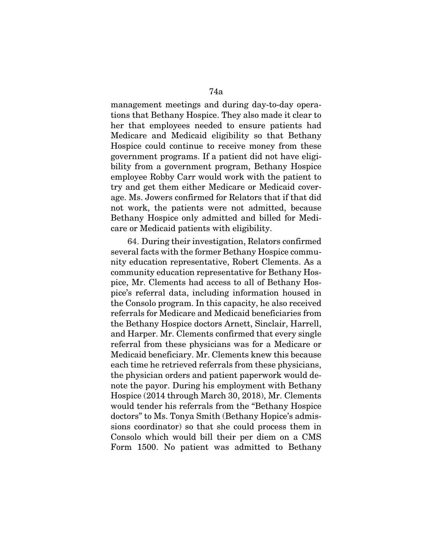management meetings and during day-to-day operations that Bethany Hospice. They also made it clear to her that employees needed to ensure patients had Medicare and Medicaid eligibility so that Bethany Hospice could continue to receive money from these government programs. If a patient did not have eligibility from a government program, Bethany Hospice employee Robby Carr would work with the patient to try and get them either Medicare or Medicaid coverage. Ms. Jowers confirmed for Relators that if that did not work, the patients were not admitted, because Bethany Hospice only admitted and billed for Medicare or Medicaid patients with eligibility.

64. During their investigation, Relators confirmed several facts with the former Bethany Hospice community education representative, Robert Clements. As a community education representative for Bethany Hospice, Mr. Clements had access to all of Bethany Hospice's referral data, including information housed in the Consolo program. In this capacity, he also received referrals for Medicare and Medicaid beneficiaries from the Bethany Hospice doctors Arnett, Sinclair, Harrell, and Harper. Mr. Clements confirmed that every single referral from these physicians was for a Medicare or Medicaid beneficiary. Mr. Clements knew this because each time he retrieved referrals from these physicians, the physician orders and patient paperwork would denote the payor. During his employment with Bethany Hospice (2014 through March 30, 2018), Mr. Clements would tender his referrals from the "Bethany Hospice doctors" to Ms. Tonya Smith (Bethany Hopice's admissions coordinator) so that she could process them in Consolo which would bill their per diem on a CMS Form 1500. No patient was admitted to Bethany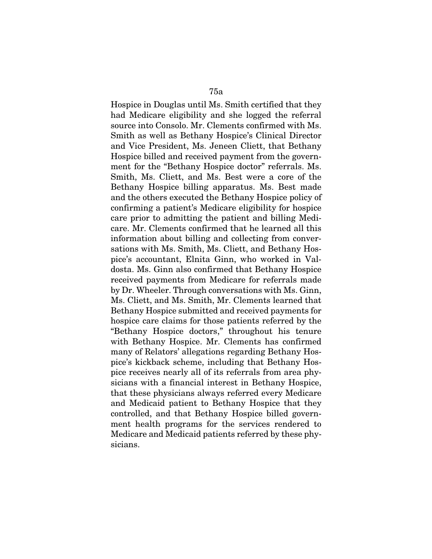Hospice in Douglas until Ms. Smith certified that they had Medicare eligibility and she logged the referral

source into Consolo. Mr. Clements confirmed with Ms. Smith as well as Bethany Hospice's Clinical Director and Vice President, Ms. Jeneen Cliett, that Bethany Hospice billed and received payment from the government for the "Bethany Hospice doctor" referrals. Ms. Smith, Ms. Cliett, and Ms. Best were a core of the Bethany Hospice billing apparatus. Ms. Best made and the others executed the Bethany Hospice policy of confirming a patient's Medicare eligibility for hospice care prior to admitting the patient and billing Medicare. Mr. Clements confirmed that he learned all this information about billing and collecting from conversations with Ms. Smith, Ms. Cliett, and Bethany Hospice's accountant, Elnita Ginn, who worked in Valdosta. Ms. Ginn also confirmed that Bethany Hospice received payments from Medicare for referrals made by Dr. Wheeler. Through conversations with Ms. Ginn, Ms. Cliett, and Ms. Smith, Mr. Clements learned that Bethany Hospice submitted and received payments for hospice care claims for those patients referred by the "Bethany Hospice doctors," throughout his tenure with Bethany Hospice. Mr. Clements has confirmed many of Relators' allegations regarding Bethany Hospice's kickback scheme, including that Bethany Hospice receives nearly all of its referrals from area physicians with a financial interest in Bethany Hospice, that these physicians always referred every Medicare and Medicaid patient to Bethany Hospice that they controlled, and that Bethany Hospice billed government health programs for the services rendered to Medicare and Medicaid patients referred by these physicians.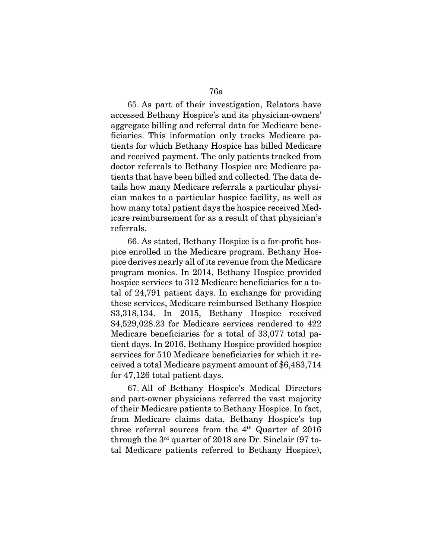65. As part of their investigation, Relators have accessed Bethany Hospice's and its physician-owners' aggregate billing and referral data for Medicare beneficiaries. This information only tracks Medicare patients for which Bethany Hospice has billed Medicare and received payment. The only patients tracked from doctor referrals to Bethany Hospice are Medicare patients that have been billed and collected. The data details how many Medicare referrals a particular physician makes to a particular hospice facility, as well as how many total patient days the hospice received Medicare reimbursement for as a result of that physician's referrals.

66. As stated, Bethany Hospice is a for-profit hospice enrolled in the Medicare program. Bethany Hospice derives nearly all of its revenue from the Medicare program monies. In 2014, Bethany Hospice provided hospice services to 312 Medicare beneficiaries for a total of 24,791 patient days. In exchange for providing these services, Medicare reimbursed Bethany Hospice \$3,318,134. In 2015, Bethany Hospice received \$4,529,028.23 for Medicare services rendered to 422 Medicare beneficiaries for a total of 33,077 total patient days. In 2016, Bethany Hospice provided hospice services for 510 Medicare beneficiaries for which it received a total Medicare payment amount of \$6,483,714 for 47,126 total patient days.

67. All of Bethany Hospice's Medical Directors and part-owner physicians referred the vast majority of their Medicare patients to Bethany Hospice. In fact, from Medicare claims data, Bethany Hospice's top three referral sources from the  $4<sup>th</sup>$  Quarter of 2016 through the 3rd quarter of 2018 are Dr. Sinclair (97 total Medicare patients referred to Bethany Hospice),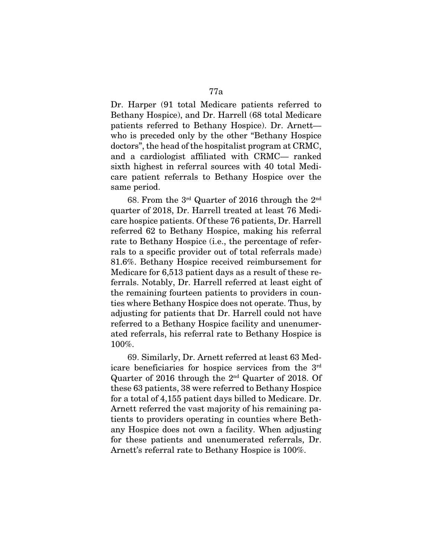Dr. Harper (91 total Medicare patients referred to Bethany Hospice), and Dr. Harrell (68 total Medicare patients referred to Bethany Hospice). Dr. Arnett who is preceded only by the other "Bethany Hospice doctors", the head of the hospitalist program at CRMC, and a cardiologist affiliated with CRMC— ranked sixth highest in referral sources with 40 total Medicare patient referrals to Bethany Hospice over the same period.

68. From the 3rd Quarter of 2016 through the 2nd quarter of 2018, Dr. Harrell treated at least 76 Medicare hospice patients. Of these 76 patients, Dr. Harrell referred 62 to Bethany Hospice, making his referral rate to Bethany Hospice (i.e., the percentage of referrals to a specific provider out of total referrals made) 81.6%. Bethany Hospice received reimbursement for Medicare for 6,513 patient days as a result of these referrals. Notably, Dr. Harrell referred at least eight of the remaining fourteen patients to providers in counties where Bethany Hospice does not operate. Thus, by adjusting for patients that Dr. Harrell could not have referred to a Bethany Hospice facility and unenumerated referrals, his referral rate to Bethany Hospice is 100%.

69. Similarly, Dr. Arnett referred at least 63 Medicare beneficiaries for hospice services from the 3rd Quarter of 2016 through the 2nd Quarter of 2018. Of these 63 patients, 38 were referred to Bethany Hospice for a total of 4,155 patient days billed to Medicare. Dr. Arnett referred the vast majority of his remaining patients to providers operating in counties where Bethany Hospice does not own a facility. When adjusting for these patients and unenumerated referrals, Dr. Arnett's referral rate to Bethany Hospice is 100%.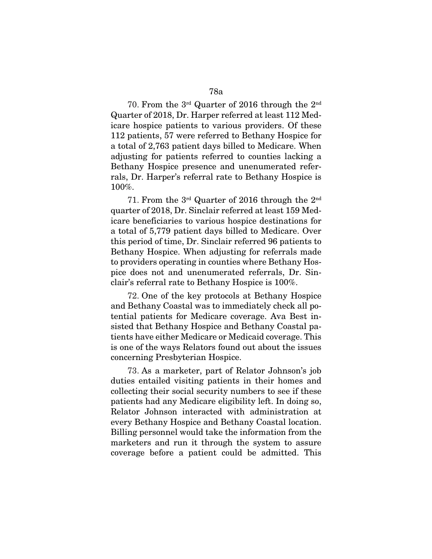70. From the 3rd Quarter of 2016 through the 2nd Quarter of 2018, Dr. Harper referred at least 112 Medicare hospice patients to various providers. Of these 112 patients, 57 were referred to Bethany Hospice for a total of 2,763 patient days billed to Medicare. When adjusting for patients referred to counties lacking a Bethany Hospice presence and unenumerated referrals, Dr. Harper's referral rate to Bethany Hospice is 100%.

71. From the 3rd Quarter of 2016 through the 2nd quarter of 2018, Dr. Sinclair referred at least 159 Medicare beneficiaries to various hospice destinations for a total of 5,779 patient days billed to Medicare. Over this period of time, Dr. Sinclair referred 96 patients to Bethany Hospice. When adjusting for referrals made to providers operating in counties where Bethany Hospice does not and unenumerated referrals, Dr. Sinclair's referral rate to Bethany Hospice is 100%.

72. One of the key protocols at Bethany Hospice and Bethany Coastal was to immediately check all potential patients for Medicare coverage. Ava Best insisted that Bethany Hospice and Bethany Coastal patients have either Medicare or Medicaid coverage. This is one of the ways Relators found out about the issues concerning Presbyterian Hospice.

73. As a marketer, part of Relator Johnson's job duties entailed visiting patients in their homes and collecting their social security numbers to see if these patients had any Medicare eligibility left. In doing so, Relator Johnson interacted with administration at every Bethany Hospice and Bethany Coastal location. Billing personnel would take the information from the marketers and run it through the system to assure coverage before a patient could be admitted. This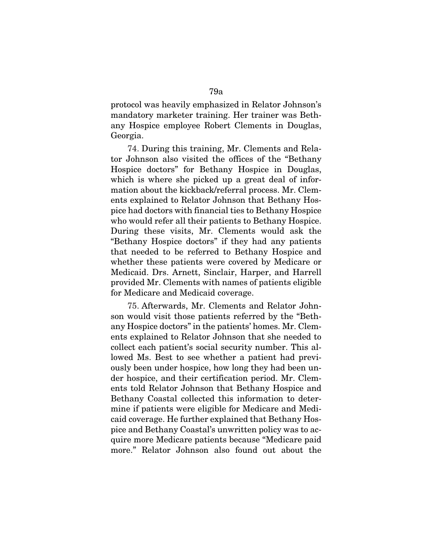protocol was heavily emphasized in Relator Johnson's mandatory marketer training. Her trainer was Bethany Hospice employee Robert Clements in Douglas, Georgia.

74. During this training, Mr. Clements and Relator Johnson also visited the offices of the "Bethany Hospice doctors" for Bethany Hospice in Douglas, which is where she picked up a great deal of information about the kickback/referral process. Mr. Clements explained to Relator Johnson that Bethany Hospice had doctors with financial ties to Bethany Hospice who would refer all their patients to Bethany Hospice. During these visits, Mr. Clements would ask the "Bethany Hospice doctors" if they had any patients that needed to be referred to Bethany Hospice and whether these patients were covered by Medicare or Medicaid. Drs. Arnett, Sinclair, Harper, and Harrell provided Mr. Clements with names of patients eligible for Medicare and Medicaid coverage.

75. Afterwards, Mr. Clements and Relator Johnson would visit those patients referred by the "Bethany Hospice doctors" in the patients' homes. Mr. Clements explained to Relator Johnson that she needed to collect each patient's social security number. This allowed Ms. Best to see whether a patient had previously been under hospice, how long they had been under hospice, and their certification period. Mr. Clements told Relator Johnson that Bethany Hospice and Bethany Coastal collected this information to determine if patients were eligible for Medicare and Medicaid coverage. He further explained that Bethany Hospice and Bethany Coastal's unwritten policy was to acquire more Medicare patients because "Medicare paid more." Relator Johnson also found out about the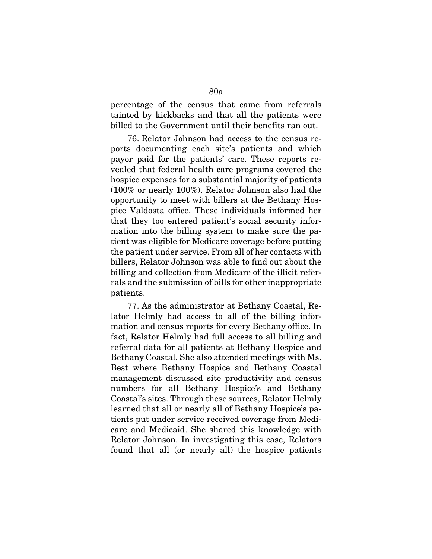percentage of the census that came from referrals tainted by kickbacks and that all the patients were billed to the Government until their benefits ran out.

76. Relator Johnson had access to the census reports documenting each site's patients and which payor paid for the patients' care. These reports revealed that federal health care programs covered the hospice expenses for a substantial majority of patients (100% or nearly 100%). Relator Johnson also had the opportunity to meet with billers at the Bethany Hospice Valdosta office. These individuals informed her that they too entered patient's social security information into the billing system to make sure the patient was eligible for Medicare coverage before putting the patient under service. From all of her contacts with billers, Relator Johnson was able to find out about the billing and collection from Medicare of the illicit referrals and the submission of bills for other inappropriate patients.

77. As the administrator at Bethany Coastal, Relator Helmly had access to all of the billing information and census reports for every Bethany office. In fact, Relator Helmly had full access to all billing and referral data for all patients at Bethany Hospice and Bethany Coastal. She also attended meetings with Ms. Best where Bethany Hospice and Bethany Coastal management discussed site productivity and census numbers for all Bethany Hospice's and Bethany Coastal's sites. Through these sources, Relator Helmly learned that all or nearly all of Bethany Hospice's patients put under service received coverage from Medicare and Medicaid. She shared this knowledge with Relator Johnson. In investigating this case, Relators found that all (or nearly all) the hospice patients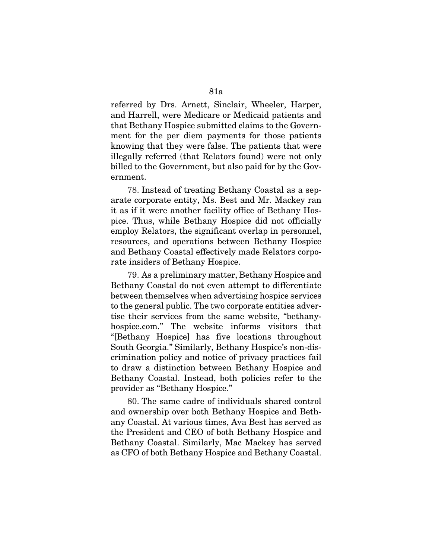referred by Drs. Arnett, Sinclair, Wheeler, Harper, and Harrell, were Medicare or Medicaid patients and that Bethany Hospice submitted claims to the Government for the per diem payments for those patients knowing that they were false. The patients that were illegally referred (that Relators found) were not only billed to the Government, but also paid for by the Government.

78. Instead of treating Bethany Coastal as a separate corporate entity, Ms. Best and Mr. Mackey ran it as if it were another facility office of Bethany Hospice. Thus, while Bethany Hospice did not officially employ Relators, the significant overlap in personnel, resources, and operations between Bethany Hospice and Bethany Coastal effectively made Relators corporate insiders of Bethany Hospice.

79. As a preliminary matter, Bethany Hospice and Bethany Coastal do not even attempt to differentiate between themselves when advertising hospice services to the general public. The two corporate entities advertise their services from the same website, "bethanyhospice.com." The website informs visitors that "[Bethany Hospice] has five locations throughout South Georgia." Similarly, Bethany Hospice's non-discrimination policy and notice of privacy practices fail to draw a distinction between Bethany Hospice and Bethany Coastal. Instead, both policies refer to the provider as "Bethany Hospice."

80. The same cadre of individuals shared control and ownership over both Bethany Hospice and Bethany Coastal. At various times, Ava Best has served as the President and CEO of both Bethany Hospice and Bethany Coastal. Similarly, Mac Mackey has served as CFO of both Bethany Hospice and Bethany Coastal.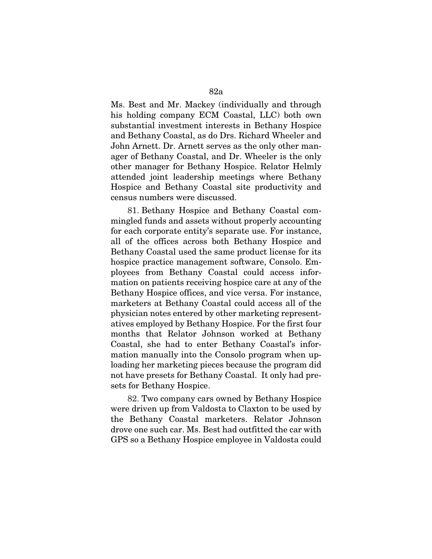Ms. Best and Mr. Mackey (individually and through his holding company ECM Coastal, LLC) both own substantial investment interests in Bethany Hospice and Bethany Coastal, as do Drs. Richard Wheeler and John Arnett. Dr. Arnett serves as the only other manager of Bethany Coastal, and Dr. Wheeler is the only other manager for Bethany Hospice. Relator Helmly attended joint leadership meetings where Bethany Hospice and Bethany Coastal site productivity and census numbers were discussed.

81. Bethany Hospice and Bethany Coastal commingled funds and assets without properly accounting for each corporate entity's separate use. For instance, all of the offices across both Bethany Hospice and Bethany Coastal used the same product license for its hospice practice management software, Consolo. Employees from Bethany Coastal could access information on patients receiving hospice care at any of the Bethany Hospice offices, and vice versa. For instance, marketers at Bethany Coastal could access all of the physician notes entered by other marketing representatives employed by Bethany Hospice. For the first four months that Relator Johnson worked at Bethany Coastal, she had to enter Bethany Coastal's information manually into the Consolo program when uploading her marketing pieces because the program did not have presets for Bethany Coastal. It only had presets for Bethany Hospice.

82. Two company cars owned by Bethany Hospice were driven up from Valdosta to Claxton to be used by the Bethany Coastal marketers. Relator Johnson drove one such car. Ms. Best had outfitted the car with GPS so a Bethany Hospice employee in Valdosta could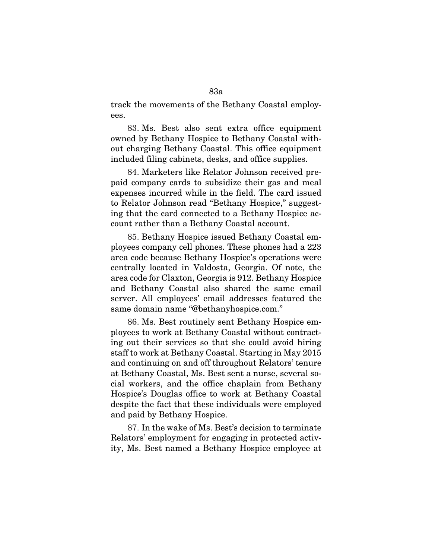track the movements of the Bethany Coastal employees.

83. Ms. Best also sent extra office equipment owned by Bethany Hospice to Bethany Coastal without charging Bethany Coastal. This office equipment included filing cabinets, desks, and office supplies.

84. Marketers like Relator Johnson received prepaid company cards to subsidize their gas and meal expenses incurred while in the field. The card issued to Relator Johnson read "Bethany Hospice," suggesting that the card connected to a Bethany Hospice account rather than a Bethany Coastal account.

85. Bethany Hospice issued Bethany Coastal employees company cell phones. These phones had a 223 area code because Bethany Hospice's operations were centrally located in Valdosta, Georgia. Of note, the area code for Claxton, Georgia is 912. Bethany Hospice and Bethany Coastal also shared the same email server. All employees' email addresses featured the same domain name "@bethanyhospice.com."

86. Ms. Best routinely sent Bethany Hospice employees to work at Bethany Coastal without contracting out their services so that she could avoid hiring staff to work at Bethany Coastal. Starting in May 2015 and continuing on and off throughout Relators' tenure at Bethany Coastal, Ms. Best sent a nurse, several social workers, and the office chaplain from Bethany Hospice's Douglas office to work at Bethany Coastal despite the fact that these individuals were employed and paid by Bethany Hospice.

87. In the wake of Ms. Best's decision to terminate Relators' employment for engaging in protected activity, Ms. Best named a Bethany Hospice employee at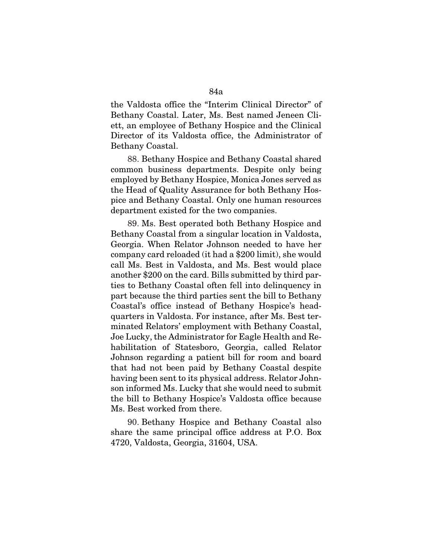the Valdosta office the "Interim Clinical Director" of Bethany Coastal. Later, Ms. Best named Jeneen Cliett, an employee of Bethany Hospice and the Clinical Director of its Valdosta office, the Administrator of Bethany Coastal.

88. Bethany Hospice and Bethany Coastal shared common business departments. Despite only being employed by Bethany Hospice, Monica Jones served as the Head of Quality Assurance for both Bethany Hospice and Bethany Coastal. Only one human resources department existed for the two companies.

89. Ms. Best operated both Bethany Hospice and Bethany Coastal from a singular location in Valdosta, Georgia. When Relator Johnson needed to have her company card reloaded (it had a \$200 limit), she would call Ms. Best in Valdosta, and Ms. Best would place another \$200 on the card. Bills submitted by third parties to Bethany Coastal often fell into delinquency in part because the third parties sent the bill to Bethany Coastal's office instead of Bethany Hospice's headquarters in Valdosta. For instance, after Ms. Best terminated Relators' employment with Bethany Coastal, Joe Lucky, the Administrator for Eagle Health and Rehabilitation of Statesboro, Georgia, called Relator Johnson regarding a patient bill for room and board that had not been paid by Bethany Coastal despite having been sent to its physical address. Relator Johnson informed Ms. Lucky that she would need to submit the bill to Bethany Hospice's Valdosta office because Ms. Best worked from there.

90. Bethany Hospice and Bethany Coastal also share the same principal office address at P.O. Box 4720, Valdosta, Georgia, 31604, USA.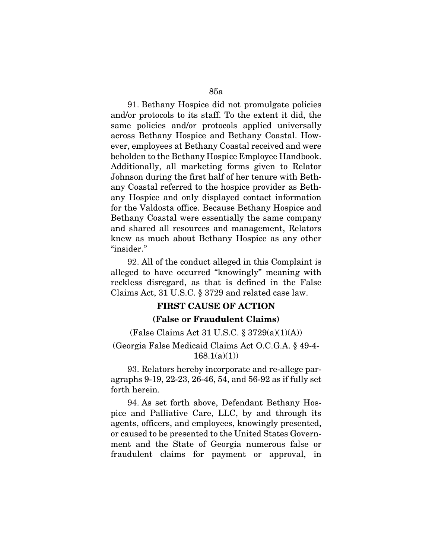91. Bethany Hospice did not promulgate policies and/or protocols to its staff. To the extent it did, the same policies and/or protocols applied universally across Bethany Hospice and Bethany Coastal. However, employees at Bethany Coastal received and were beholden to the Bethany Hospice Employee Handbook. Additionally, all marketing forms given to Relator Johnson during the first half of her tenure with Bethany Coastal referred to the hospice provider as Bethany Hospice and only displayed contact information for the Valdosta office. Because Bethany Hospice and Bethany Coastal were essentially the same company and shared all resources and management, Relators knew as much about Bethany Hospice as any other "insider."

92. All of the conduct alleged in this Complaint is alleged to have occurred "knowingly" meaning with reckless disregard, as that is defined in the False Claims Act, 31 U.S.C. § 3729 and related case law.

## FIRST CAUSE OF ACTION

## (False or Fraudulent Claims)

(False Claims Act 31 U.S.C. § 3729(a)(1)(A))

(Georgia False Medicaid Claims Act O.C.G.A. § 49-4-  $168.1(a)(1)$ 

93. Relators hereby incorporate and re-allege paragraphs 9-19, 22-23, 26-46, 54, and 56-92 as if fully set forth herein.

94. As set forth above, Defendant Bethany Hospice and Palliative Care, LLC, by and through its agents, officers, and employees, knowingly presented, or caused to be presented to the United States Government and the State of Georgia numerous false or fraudulent claims for payment or approval, in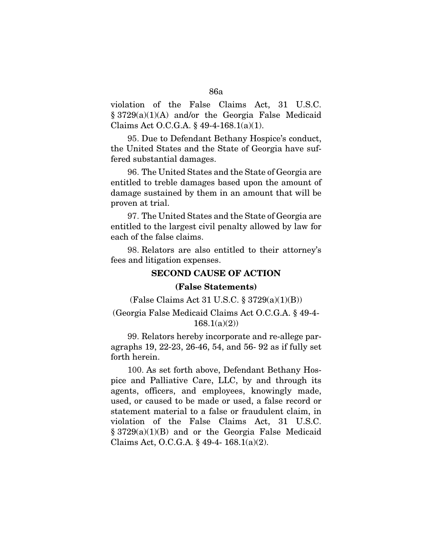violation of the False Claims Act, 31 U.S.C. § 3729(a)(1)(A) and/or the Georgia False Medicaid Claims Act O.C.G.A. § 49-4-168.1(a)(1).

95. Due to Defendant Bethany Hospice's conduct, the United States and the State of Georgia have suffered substantial damages.

96. The United States and the State of Georgia are entitled to treble damages based upon the amount of damage sustained by them in an amount that will be proven at trial.

97. The United States and the State of Georgia are entitled to the largest civil penalty allowed by law for each of the false claims.

98. Relators are also entitled to their attorney's fees and litigation expenses.

## SECOND CAUSE OF ACTION

#### (False Statements)

(False Claims Act 31 U.S.C. § 3729(a)(1)(B))

### (Georgia False Medicaid Claims Act O.C.G.A. § 49-4-  $168.1(a)(2)$

99. Relators hereby incorporate and re-allege paragraphs 19, 22-23, 26-46, 54, and 56- 92 as if fully set forth herein.

100. As set forth above, Defendant Bethany Hospice and Palliative Care, LLC, by and through its agents, officers, and employees, knowingly made, used, or caused to be made or used, a false record or statement material to a false or fraudulent claim, in violation of the False Claims Act, 31 U.S.C. § 3729(a)(1)(B) and or the Georgia False Medicaid Claims Act, O.C.G.A. § 49-4- 168.1(a)(2).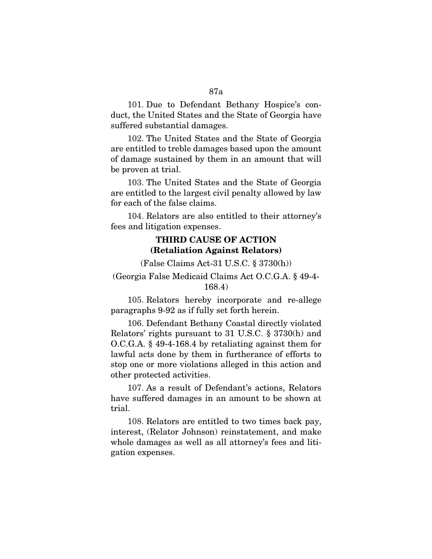101. Due to Defendant Bethany Hospice's conduct, the United States and the State of Georgia have

102. The United States and the State of Georgia are entitled to treble damages based upon the amount of damage sustained by them in an amount that will be proven at trial.

suffered substantial damages.

103. The United States and the State of Georgia are entitled to the largest civil penalty allowed by law for each of the false claims.

104. Relators are also entitled to their attorney's fees and litigation expenses.

# THIRD CAUSE OF ACTION (Retaliation Against Relators)

(False Claims Act-31 U.S.C. § 3730(h))

# (Georgia False Medicaid Claims Act O.C.G.A. § 49-4- 168.4)

105. Relators hereby incorporate and re-allege paragraphs 9-92 as if fully set forth herein.

106. Defendant Bethany Coastal directly violated Relators' rights pursuant to 31 U.S.C. § 3730(h) and O.C.G.A. § 49-4-168.4 by retaliating against them for lawful acts done by them in furtherance of efforts to stop one or more violations alleged in this action and other protected activities.

107. As a result of Defendant's actions, Relators have suffered damages in an amount to be shown at trial.

108. Relators are entitled to two times back pay, interest, (Relator Johnson) reinstatement, and make whole damages as well as all attorney's fees and litigation expenses.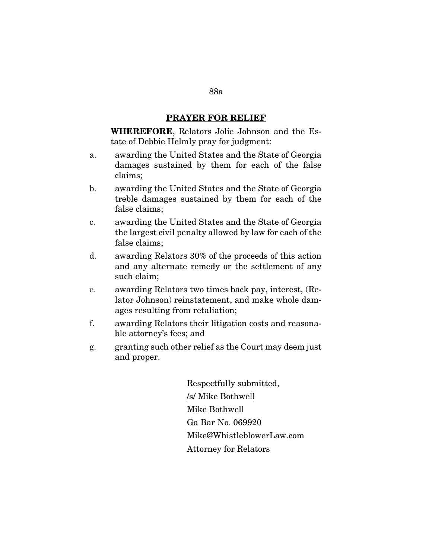## PRAYER FOR RELIEF

WHEREFORE, Relators Jolie Johnson and the Estate of Debbie Helmly pray for judgment:

- a. awarding the United States and the State of Georgia damages sustained by them for each of the false claims;
- b. awarding the United States and the State of Georgia treble damages sustained by them for each of the false claims;
- c. awarding the United States and the State of Georgia the largest civil penalty allowed by law for each of the false claims;
- d. awarding Relators 30% of the proceeds of this action and any alternate remedy or the settlement of any such claim;
- e. awarding Relators two times back pay, interest, (Relator Johnson) reinstatement, and make whole damages resulting from retaliation;
- f. awarding Relators their litigation costs and reasonable attorney's fees; and
- g. granting such other relief as the Court may deem just and proper.

Respectfully submitted, /s/ Mike Bothwell Mike Bothwell Ga Bar No. 069920 Mike@WhistleblowerLaw.com Attorney for Relators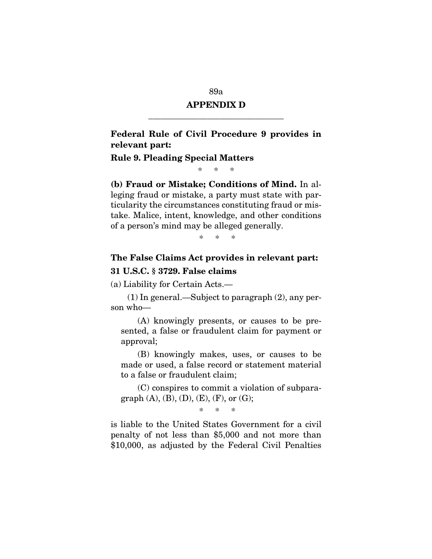#### 89a

# APPENDIX D \_\_\_\_\_\_\_\_\_\_\_\_\_\_\_\_\_\_\_\_\_\_\_\_\_\_\_\_\_\_\_\_

# Federal Rule of Civil Procedure 9 provides in relevant part:

#### Rule 9. Pleading Special Matters

\* \* \*

(b) Fraud or Mistake; Conditions of Mind. In alleging fraud or mistake, a party must state with particularity the circumstances constituting fraud or mistake. Malice, intent, knowledge, and other conditions of a person's mind may be alleged generally.

\* \* \*

# The False Claims Act provides in relevant part: 31 U.S.C. § 3729. False claims

(a) Liability for Certain Acts.—

(1) In general.—Subject to paragraph (2), any person who—

(A) knowingly presents, or causes to be presented, a false or fraudulent claim for payment or approval;

(B) knowingly makes, uses, or causes to be made or used, a false record or statement material to a false or fraudulent claim;

(C) conspires to commit a violation of subparagraph  $(A)$ ,  $(B)$ ,  $(D)$ ,  $(E)$ ,  $(F)$ , or  $(G)$ ;

\* \* \*

is liable to the United States Government for a civil penalty of not less than \$5,000 and not more than \$10,000, as adjusted by the Federal Civil Penalties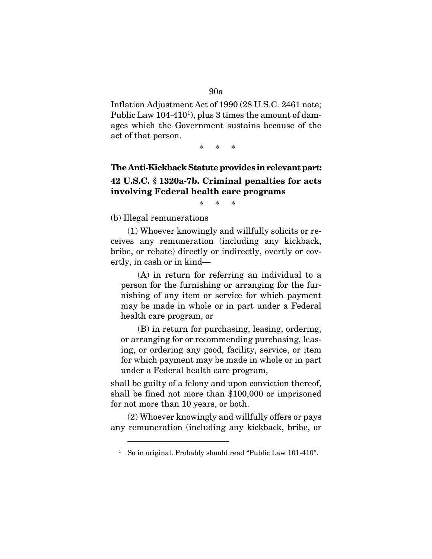#### 90a

Inflation Adjustment Act of 1990 (28 U.S.C. 2461 note; Public Law [1](#page-89-0)04-410<sup>1</sup>), plus 3 times the amount of damages which the Government sustains because of the act of that person.

\* \* \*

# The Anti-Kickback Statute provides in relevant part: 42 U.S.C. § 1320a-7b. Criminal penalties for acts involving Federal health care programs

\* \* \*

(b) Illegal remunerations

(1) Whoever knowingly and willfully solicits or receives any remuneration (including any kickback, bribe, or rebate) directly or indirectly, overtly or covertly, in cash or in kind—

(A) in return for referring an individual to a person for the furnishing or arranging for the furnishing of any item or service for which payment may be made in whole or in part under a Federal health care program, or

(B) in return for purchasing, leasing, ordering, or arranging for or recommending purchasing, leasing, or ordering any good, facility, service, or item for which payment may be made in whole or in part under a Federal health care program,

shall be guilty of a felony and upon conviction thereof, shall be fined not more than \$100,000 or imprisoned for not more than 10 years, or both.

<span id="page-89-0"></span>(2) Whoever knowingly and willfully offers or pays any remuneration (including any kickback, bribe, or

<sup>&</sup>lt;sup>1</sup> So in original. Probably should read "Public Law 101-410".